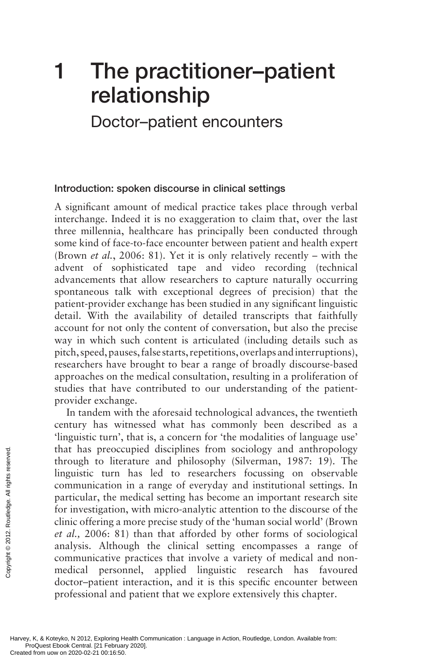# 1 The practitioner–patient relationship

## Doctor–patient encounters

#### Introduction: spoken discourse in clinical settings

A significant amount of medical practice takes place through verbal interchange. Indeed it is no exaggeration to claim that, over the last three millennia, healthcare has principally been conducted through some kind of face-to-face encounter between patient and health expert (Brown *et al.*, 2006: 81). Yet it is only relatively recently – with the advent of sophisticated tape and video recording (technical advancements that allow researchers to capture naturally occurring spontaneous talk with exceptional degrees of precision) that the patient-provider exchange has been studied in any significant linguistic detail. With the availability of detailed transcripts that faithfully account for not only the content of conversation, but also the precise way in which such content is articulated (including details such as pitch, speed, pauses, false starts, repetitions, overlaps and interruptions), researchers have brought to bear a range of broadly discourse-based approaches on the medical consultation, resulting in a proliferation of studies that have contributed to our understanding of the patientprovider exchange.

In tandem with the aforesaid technological advances, the twentieth century has witnessed what has commonly been described as a 'linguistic turn', that is, a concern for 'the modalities of language use' that has preoccupied disciplines from sociology and anthropology through to literature and philosophy (Silverman, 1987: 19). The linguistic turn has led to researchers focussing on observable communication in a range of everyday and institutional settings. In particular, the medical setting has become an important research site for investigation, with micro-analytic attention to the discourse of the clinic offering a more precise study of the 'human social world' (Brown *et al.,* 2006: 81) than that afforded by other forms of sociological analysis. Although the clinical setting encompasses a range of communicative practices that involve a variety of medical and nonmedical personnel, applied linguistic research has favoured doctor–patient interaction, and it is this specific encounter between professional and patient that we explore extensively this chapter. That has preocc<br>
through to liter<br>
linguistic turn<br>
communication<br>
particular, the m<br>
for investigation<br>
clinic offering a r<br> *et al.*, 2006: 81<br>
analysis. Althou<br>
communicative p<br>
medical person<br>
doctor-patient i<br>
profes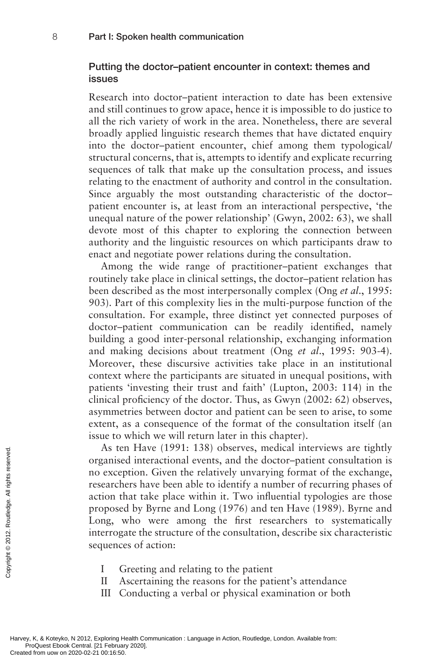#### Putting the doctor–patient encounter in context: themes and issues

Research into doctor–patient interaction to date has been extensive and still continues to grow apace, hence it is impossible to do justice to all the rich variety of work in the area. Nonetheless, there are several broadly applied linguistic research themes that have dictated enquiry into the doctor–patient encounter, chief among them typological/ structural concerns, that is, attempts to identify and explicate recurring sequences of talk that make up the consultation process, and issues relating to the enactment of authority and control in the consultation. Since arguably the most outstanding characteristic of the doctor– patient encounter is, at least from an interactional perspective, 'the unequal nature of the power relationship' (Gwyn, 2002: 63), we shall devote most of this chapter to exploring the connection between authority and the linguistic resources on which participants draw to enact and negotiate power relations during the consultation.

Among the wide range of practitioner–patient exchanges that routinely take place in clinical settings, the doctor–patient relation has been described as the most interpersonally complex (Ong *et al*., 1995: 903). Part of this complexity lies in the multi-purpose function of the consultation. For example, three distinct yet connected purposes of doctor-patient communication can be readily identified, namely building a good inter-personal relationship, exchanging information and making decisions about treatment (Ong *et al*., 1995: 903-4). Moreover, these discursive activities take place in an institutional context where the participants are situated in unequal positions, with patients 'investing their trust and faith' (Lupton, 2003: 114) in the clinical proficiency of the doctor. Thus, as Gwyn  $(2002: 62)$  observes, asymmetries between doctor and patient can be seen to arise, to some extent, as a consequence of the format of the consultation itself (an issue to which we will return later in this chapter).

As ten Have (1991: 138) observes, medical interviews are tightly organised interactional events, and the doctor–patient consultation is no exception. Given the relatively unvarying format of the exchange, researchers have been able to identify a number of recurring phases of action that take place within it. Two influential typologies are those proposed by Byrne and Long (1976) and ten Have (1989). Byrne and Long, who were among the first researchers to systematically interrogate the structure of the consultation, describe six characteristic sequences of action: As termultion and a contraction of the contraction of the contraction of the proposed and contraction of the contraction of the contraction of the contraction of the contraction of the contraction of the contraction of t

- I Greeting and relating to the patient
- II Ascertaining the reasons for the patient's attendance
- III Conducting a verbal or physical examination or both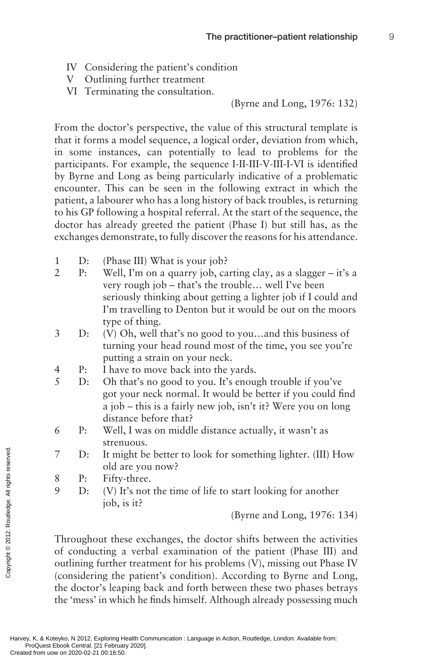- IV Considering the patient's condition
- V Outlining further treatment
- VI Terminating the consultation.

(Byrne and Long, 1976: 132)

From the doctor's perspective, the value of this structural template is that it forms a model sequence, a logical order, deviation from which, in some instances, can potentially to lead to problems for the participants. For example, the sequence I-II-III-V-III-I-VI is identified by Byrne and Long as being particularly indicative of a problematic encounter. This can be seen in the following extract in which the patient, a labourer who has a long history of back troubles, is returning to his GP following a hospital referral. At the start of the sequence, the doctor has already greeted the patient (Phase I) but still has, as the exchanges demonstrate, to fully discover the reasons for his attendance.

- 1 D: (Phase III) What is your job?
- 2 P: Well, I'm on a quarry job, carting clay, as a slagger it's a very rough job – that's the trouble… well I've been seriously thinking about getting a lighter job if I could and I'm travelling to Denton but it would be out on the moors type of thing.
- 3 D: (V) Oh, well that's no good to you…and this business of turning your head round most of the time, you see you're putting a strain on your neck.
- 4 P: I have to move back into the yards.
- 5 D: Oh that's no good to you. It's enough trouble if you've got your neck normal. It would be better if you could find a job – this is a fairly new job, isn't it? Were you on long distance before that?
- 6 P: Well, I was on middle distance actually, it wasn't as strenuous.
- 7 D: It might be better to look for something lighter. (III) How old are you now?
- 8 P: Fifty-three.
- 9 D: (V) It's not the time of life to start looking for another job, is it?

(Byrne and Long, 1976: 134)

Throughout these exchanges, the doctor shifts between the activities of conducting a verbal examination of the patient (Phase III) and outlining further treatment for his problems (V), missing out Phase IV (considering the patient's condition). According to Byrne and Long, the doctor's leaping back and forth between these two phases betrays the 'mess' in which he finds himself. Although already possessing much From the set of the set of the set of the set of the set of the set of the set of the set of conducting a<br>
Harvey, K, & Koteyko, N 2012, Exploring the ProQuest Ebook Central. [21 February Created from uow on 2020-02-21 00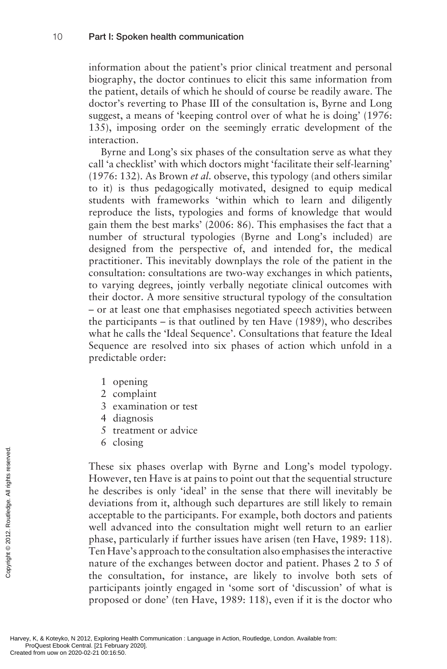information about the patient's prior clinical treatment and personal biography, the doctor continues to elicit this same information from the patient, details of which he should of course be readily aware. The doctor's reverting to Phase III of the consultation is, Byrne and Long suggest, a means of 'keeping control over of what he is doing' (1976: 135), imposing order on the seemingly erratic development of the interaction.

Byrne and Long's six phases of the consultation serve as what they call 'a checklist' with which doctors might 'facilitate their self-learning' (1976: 132). As Brown *et al.* observe, this typology (and others similar to it) is thus pedagogically motivated, designed to equip medical students with frameworks 'within which to learn and diligently reproduce the lists, typologies and forms of knowledge that would gain them the best marks' (2006: 86). This emphasises the fact that a number of structural typologies (Byrne and Long's included) are designed from the perspective of, and intended for, the medical practitioner. This inevitably downplays the role of the patient in the consultation: consultations are two-way exchanges in which patients, to varying degrees, jointly verbally negotiate clinical outcomes with their doctor. A more sensitive structural typology of the consultation – or at least one that emphasises negotiated speech activities between the participants – is that outlined by ten Have (1989), who describes what he calls the 'Ideal Sequence'. Consultations that feature the Ideal Sequence are resolved into six phases of action which unfold in a predictable order:

- 1 opening
- 2 complaint
- 3 examination or test
- 4 diagnosis
- 5 treatment or advice
- 6 closing

These six phases overlap with Byrne and Long's model typology. However, ten Have is at pains to point out that the sequential structure he describes is only 'ideal' in the sense that there will inevitably be deviations from it, although such departures are still likely to remain acceptable to the participants. For example, both doctors and patients well advanced into the consultation might well return to an earlier phase, particularly if further issues have arisen (ten Have, 1989: 118). Ten Have's approach to the consultation also emphasises the interactive nature of the exchanges between doctor and patient. Phases 2 to 5 of the consultation, for instance, are likely to involve both sets of participants jointly engaged in 'some sort of 'discussion' of what is proposed or done' (ten Have, 1989: 118), even if it is the doctor who  $\begin{array}{ll}\n\text{We see that}\\ \n\text{Howeve} \\\n\text{Howeve} \\\n\text{Howeve} \\\n\text{Howeve} \\\n\text{Howere} \\\n\text{Howere} \\\n\text{Howeto} \\\n\text{Howeto} \\\n\text{Howeto} \\\n\text{Howeto} \\\n\text{Howeto} \\\n\text{Howeto} \\\n\text{Howeto} \\\n\text{Howeto} \\\n\text{Howeto} \\\n\text{Howeto} \\\n\text{Howeto} \\\n\text{Howeto} \\\n\text{Howeto} \\\n\text{Howeto} \\\n\text{$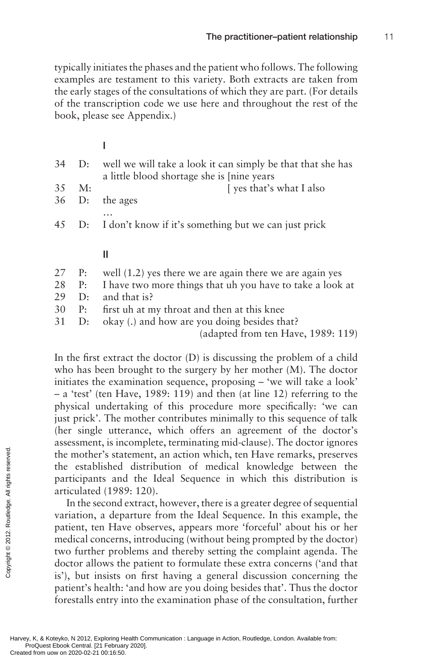typically initiates the phases and the patient who follows. The following examples are testament to this variety. Both extracts are taken from the early stages of the consultations of which they are part. (For details of the transcription code we use here and throughout the rest of the book, please see Appendix.)

| D:       | well we will take a look it can simply be that that she has<br>a little blood shortage she is [nine years] |
|----------|------------------------------------------------------------------------------------------------------------|
| M:       | [ yes that's what I also                                                                                   |
| D:       | the ages                                                                                                   |
|          |                                                                                                            |
| 45<br>D: | I don't know if it's something but we can just prick                                                       |
|          |                                                                                                            |
|          | Ш                                                                                                          |
| P:       | well $(1.2)$ yes there we are again there we are again yes                                                 |
| P:       | I have two more things that uh you have to take a look at                                                  |
| D:       | and that is?                                                                                               |
| P:       | first uh at my throat and then at this knee                                                                |
| D:       | okay (.) and how are you doing besides that?                                                               |
|          | (adapted from ten Have, 1989: 119)                                                                         |
|          |                                                                                                            |

In the first extract the doctor  $(D)$  is discussing the problem of a child who has been brought to the surgery by her mother (M). The doctor initiates the examination sequence, proposing – 'we will take a look' – a 'test' (ten Have, 1989: 119) and then (at line 12) referring to the physical undertaking of this procedure more specifically: 'we can just prick'. The mother contributes minimally to this sequence of talk (her single utterance, which offers an agreement of the doctor's assessment, is incomplete, terminating mid-clause). The doctor ignores the mother's statement, an action which, ten Have remarks, preserves the established distribution of medical knowledge between the participants and the Ideal Sequence in which this distribution is articulated (1989: 120).

In the second extract, however, there is a greater degree of sequential variation, a departure from the Ideal Sequence. In this example, the patient, ten Have observes, appears more 'forceful' about his or her medical concerns, introducing (without being prompted by the doctor) two further problems and thereby setting the complaint agenda. The doctor allows the patient to formulate these extra concerns ('and that is'), but insists on first having a general discussion concerning the patient's health: 'and how are you doing besides that'. Thus the doctor forestalls entry into the examination phase of the consultation, further For the mother's stat<br>the established<br>participants and<br>articulated (1989<br>In the second variation, a dep,<br>patient, ten Hav<br>medical concerns<br>wo further prob<br>doctor allows th<br>is'), but insists<br>patient's health:<br>forestalls en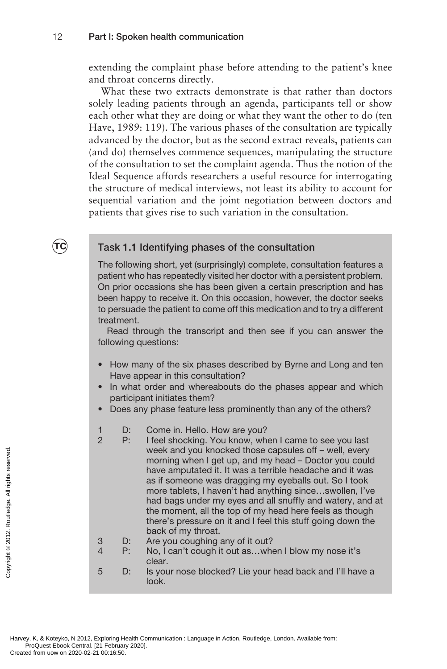extending the complaint phase before attending to the patient's knee and throat concerns directly.

What these two extracts demonstrate is that rather than doctors solely leading patients through an agenda, participants tell or show each other what they are doing or what they want the other to do (ten Have, 1989: 119). The various phases of the consultation are typically advanced by the doctor, but as the second extract reveals, patients can (and do) themselves commence sequences, manipulating the structure of the consultation to set the complaint agenda. Thus the notion of the Ideal Sequence affords researchers a useful resource for interrogating the structure of medical interviews, not least its ability to account for sequential variation and the joint negotiation between doctors and patients that gives rise to such variation in the consultation.

#### Task 1.1 Identifying phases of the consultation

The following short, yet (surprisingly) complete, consultation features a patient who has repeatedly visited her doctor with a persistent problem. On prior occasions she has been given a certain prescription and has been happy to receive it. On this occasion, however, the doctor seeks to persuade the patient to come off this medication and to try a different treatment.

Read through the transcript and then see if you can answer the following questions:

- How many of the six phases described by Byrne and Long and ten Have appear in this consultation?
- In what order and whereabouts do the phases appear and which participant initiates them?
- Does any phase feature less prominently than any of the others?
- 1 D: Come in. Hello. How are you?
- 2 P: I feel shocking. You know, when I came to see you last week and you knocked those capsules off – well, every morning when I get up, and my head – Doctor you could have amputated it. It was a terrible headache and it was as if someone was dragging my eyeballs out. So I took more tablets, I haven't had anything since…swollen, I've had bags under my eyes and all snuffly and watery, and at the moment, all the top of my head here feels as though there's pressure on it and I feel this stuff going down the back of my throat.
- 3 D: Are you coughing any of it out?
- 4 P: No, I can't cough it out as…when I blow my nose it's clear.
- 5 D: Is your nose blocked? Lie your head back and I'll have a look.

΄TC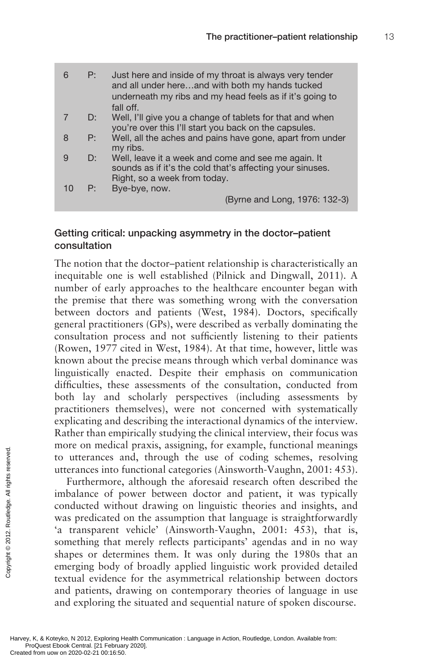| 6  | P: | Just here and inside of my throat is always very tender<br>and all under hereand with both my hands tucked<br>underneath my ribs and my head feels as if it's going to<br>fall off. |
|----|----|-------------------------------------------------------------------------------------------------------------------------------------------------------------------------------------|
|    | D: | Well, I'll give you a change of tablets for that and when<br>you're over this I'll start you back on the capsules.                                                                  |
| 8  | P: | Well, all the aches and pains have gone, apart from under<br>my ribs.                                                                                                               |
| 9  | D: | Well, leave it a week and come and see me again. It<br>sounds as if it's the cold that's affecting your sinuses.<br>Right, so a week from today.                                    |
| 10 | P: | Bye-bye, now.<br>(Byrne and Long, 1976: 132-3)                                                                                                                                      |
|    |    |                                                                                                                                                                                     |

#### Getting critical: unpacking asymmetry in the doctor–patient consultation

The notion that the doctor–patient relationship is characteristically an inequitable one is well established (Pilnick and Dingwall, 2011). A number of early approaches to the healthcare encounter began with the premise that there was something wrong with the conversation between doctors and patients (West, 1984). Doctors, specifically general practitioners (GPs), were described as verbally dominating the consultation process and not sufficiently listening to their patients (Rowen, 1977 cited in West, 1984). At that time, however, little was known about the precise means through which verbal dominance was linguistically enacted. Despite their emphasis on communication difficulties, these assessments of the consultation, conducted from both lay and scholarly perspectives (including assessments by practitioners themselves), were not concerned with systematically explicating and describing the interactional dynamics of the interview. Rather than empirically studying the clinical interview, their focus was more on medical praxis, assigning, for example, functional meanings to utterances and, through the use of coding schemes, resolving utterances into functional categories (Ainsworth-Vaughn, 2001: 453).

Furthermore, although the aforesaid research often described the imbalance of power between doctor and patient, it was typically conducted without drawing on linguistic theories and insights, and was predicated on the assumption that language is straightforwardly 'a transparent vehicle' (Ainsworth-Vaughn, 2001: 453), that is, something that merely reflects participants' agendas and in no way shapes or determines them. It was only during the 1980s that an emerging body of broadly applied linguistic work provided detailed textual evidence for the asymmetrical relationship between doctors and patients, drawing on contemporary theories of language in use and exploring the situated and sequential nature of spoken discourse. Bestar to utterances and<br>to utterances into fi<br>terances into fi<br>Furthermore,<br>imbalance of po<br>conducted with<br>was predicated (a transparent something that is<br>distinguished in the shapes or determining that is<br>distinguished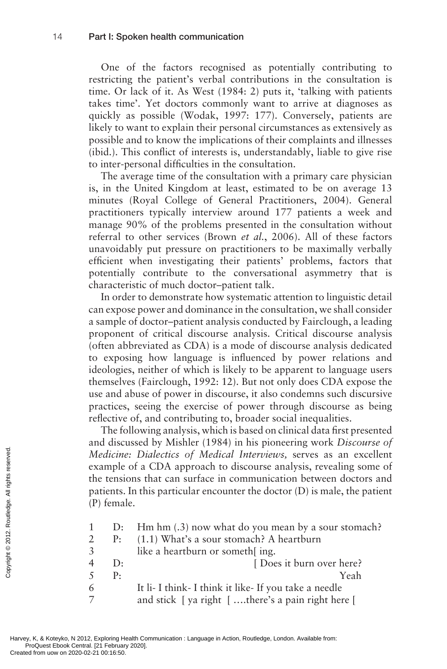One of the factors recognised as potentially contributing to restricting the patient's verbal contributions in the consultation is time. Or lack of it. As West (1984: 2) puts it, 'talking with patients takes time'. Yet doctors commonly want to arrive at diagnoses as quickly as possible (Wodak, 1997: 177). Conversely, patients are likely to want to explain their personal circumstances as extensively as possible and to know the implications of their complaints and illnesses (ibid.). This conflict of interests is, understandably, liable to give rise to inter-personal difficulties in the consultation.

The average time of the consultation with a primary care physician is, in the United Kingdom at least, estimated to be on average 13 minutes (Royal College of General Practitioners, 2004). General practitioners typically interview around 177 patients a week and manage 90% of the problems presented in the consultation without referral to other services (Brown *et al.*, 2006). All of these factors unavoidably put pressure on practitioners to be maximally verbally efficient when investigating their patients' problems, factors that potentially contribute to the conversational asymmetry that is characteristic of much doctor–patient talk.

In order to demonstrate how systematic attention to linguistic detail can expose power and dominance in the consultation, we shall consider a sample of doctor–patient analysis conducted by Fairclough, a leading proponent of critical discourse analysis. Critical discourse analysis (often abbreviated as CDA) is a mode of discourse analysis dedicated to exposing how language is influenced by power relations and ideologies, neither of which is likely to be apparent to language users themselves (Fairclough, 1992: 12). But not only does CDA expose the use and abuse of power in discourse, it also condemns such discursive practices, seeing the exercise of power through discourse as being reflective of, and contributing to, broader social inequalities.

The following analysis, which is based on clinical data first presented and discussed by Mishler (1984) in his pioneering work *Discourse of Medicine: Dialectics of Medical Interviews,* serves as an excellent example of a CDA approach to discourse analysis, revealing some of the tensions that can surface in communication between doctors and patients. In this particular encounter the doctor (D) is male, the patient (P) female.

| Copyright © 2012. Routledge. All rights reserved |                                                                                         | $(P)$ female. | Medicine: Dialectics of Medical Interviews, serves as an excelle<br>example of a CDA approach to discourse analysis, revealing some<br>the tensions that can surface in communication between doctors a<br>patients. In this particular encounter the doctor (D) is male, the patient |
|--------------------------------------------------|-----------------------------------------------------------------------------------------|---------------|---------------------------------------------------------------------------------------------------------------------------------------------------------------------------------------------------------------------------------------------------------------------------------------|
|                                                  |                                                                                         | D:            | Hm hm (.3) now what do you mean by a sour stomach?                                                                                                                                                                                                                                    |
|                                                  | 2                                                                                       | P:            | $(1.1)$ What's a sour stomach? A heartburn                                                                                                                                                                                                                                            |
|                                                  | 3                                                                                       |               | like a heartburn or someth ing.                                                                                                                                                                                                                                                       |
|                                                  | 4                                                                                       | D:            | [Does it burn over here?                                                                                                                                                                                                                                                              |
|                                                  | 5                                                                                       | P:            | Yeah                                                                                                                                                                                                                                                                                  |
|                                                  | 6                                                                                       |               | It li- I think- I think it like- If you take a needle                                                                                                                                                                                                                                 |
|                                                  |                                                                                         |               | and stick [ya right [there's a pain right here [                                                                                                                                                                                                                                      |
|                                                  |                                                                                         |               |                                                                                                                                                                                                                                                                                       |
|                                                  | ProQuest Ebook Central. [21 February 2020].<br>Created from uow on 2020-02-21 00:16:50. |               | Harvey, K, & Koteyko, N 2012, Exploring Health Communication : Language in Action, Routledge, London. Available from:                                                                                                                                                                 |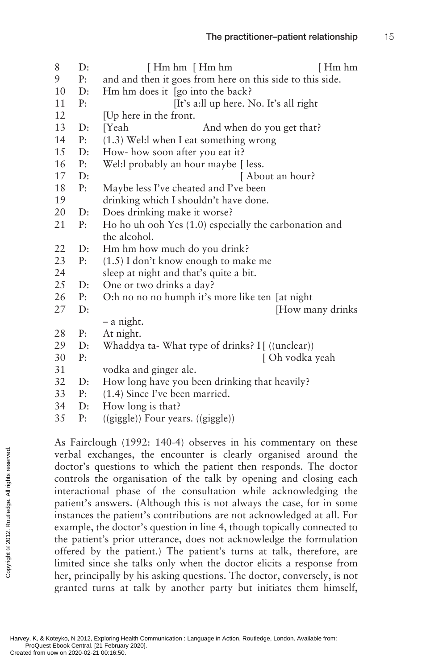| 8  | D:    | [Hm hm [Hm hm<br>[Hm hm                                   |
|----|-------|-----------------------------------------------------------|
| 9  | P:    | and and then it goes from here on this side to this side. |
| 10 | D:    | Hm hm does it [go into the back?                          |
| 11 | P:    | [It's a:ll up here. No. It's all right                    |
| 12 |       | [Up here in the front.]                                   |
| 13 | D:    | [Yeah<br>And when do you get that?                        |
| 14 | P:    | $(1.3)$ Wel:l when I eat something wrong                  |
| 15 | D:    | How- how soon after you eat it?                           |
| 16 | $P$ : | Wel:l probably an hour maybe [less.                       |
| 17 | D:    | [About an hour?                                           |
| 18 | P:    | Maybe less I've cheated and I've been                     |
| 19 |       | drinking which I shouldn't have done.                     |
| 20 | D:    | Does drinking make it worse?                              |
| 21 | P:    | Ho ho uh ooh Yes $(1.0)$ especially the carbonation and   |
|    |       | the alcohol.                                              |
| 22 | D:    | Hm hm how much do you drink?                              |
| 23 | P:    | $(1.5)$ I don't know enough to make me                    |
| 24 |       | sleep at night and that's quite a bit.                    |
| 25 | D:    | One or two drinks a day?                                  |
| 26 | $P$ : | O:h no no no humph it's more like ten [at night           |
| 27 | D:    | [How many drinks]                                         |
|    |       | $-$ a night.                                              |
| 28 | P:    | At night.                                                 |
| 29 | D:    | Whaddya ta- What type of drinks? I [ ((unclear))          |
| 30 | P:    | [Oh vodka yeah]                                           |
| 31 |       | vodka and ginger ale.                                     |
| 32 | D:    | How long have you been drinking that heavily?             |
| 33 | $P$ : | $(1.4)$ Since I've been married.                          |
| 34 | D:    | How long is that?                                         |
|    |       |                                                           |

35 P: ((giggle)) Four years. ((giggle))

As Fairclough (1992: 140-4) observes in his commentary on these verbal exchanges, the encounter is clearly organised around the doctor's questions to which the patient then responds. The doctor controls the organisation of the talk by opening and closing each interactional phase of the consultation while acknowledging the patient's answers. (Although this is not always the case, for in some instances the patient's contributions are not acknowledged at all. For example, the doctor's question in line 4, though topically connected to the patient's prior utterance, does not acknowledge the formulation offered by the patient.) The patient's turns at talk, therefore, are limited since she talks only when the doctor elicits a response from her, principally by his asking questions. The doctor, conversely, is not granted turns at talk by another party but initiates them himself, Werbal exchange<br>
see the orgent of the orgent of the orgent of the set of the patient's answer<br>
instances the patient's prior<br>
determined by the patient's prior<br>
see the patient's prior<br>
offered by the plimited since she<br>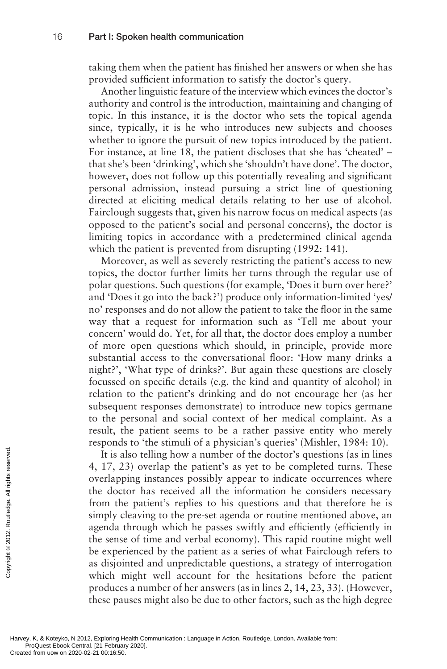taking them when the patient has finished her answers or when she has provided sufficient information to satisfy the doctor's query.

Another linguistic feature of the interview which evinces the doctor's authority and control is the introduction, maintaining and changing of topic. In this instance, it is the doctor who sets the topical agenda since, typically, it is he who introduces new subjects and chooses whether to ignore the pursuit of new topics introduced by the patient. For instance, at line 18, the patient discloses that she has 'cheated' – that she's been 'drinking', which she 'shouldn't have done'. The doctor, however, does not follow up this potentially revealing and significant personal admission, instead pursuing a strict line of questioning directed at eliciting medical details relating to her use of alcohol. Fairclough suggests that, given his narrow focus on medical aspects (as opposed to the patient's social and personal concerns), the doctor is limiting topics in accordance with a predetermined clinical agenda which the patient is prevented from disrupting (1992: 141).

Moreover, as well as severely restricting the patient's access to new topics, the doctor further limits her turns through the regular use of polar questions. Such questions (for example, 'Does it burn over here?' and 'Does it go into the back?') produce only information-limited 'yes/ no' responses and do not allow the patient to take the floor in the same way that a request for information such as 'Tell me about your concern' would do. Yet, for all that, the doctor does employ a number of more open questions which should, in principle, provide more substantial access to the conversational floor: 'How many drinks a night?', 'What type of drinks?'. But again these questions are closely focussed on specific details (e.g. the kind and quantity of alcohol) in relation to the patient's drinking and do not encourage her (as her subsequent responses demonstrate) to introduce new topics germane to the personal and social context of her medical complaint. As a result, the patient seems to be a rather passive entity who merely responds to 'the stimuli of a physician's queries' (Mishler, 1984: 10).

It is also telling how a number of the doctor's questions (as in lines 4, 17, 23) overlap the patient's as yet to be completed turns. These overlapping instances possibly appear to indicate occurrences where the doctor has received all the information he considers necessary from the patient's replies to his questions and that therefore he is simply cleaving to the pre-set agenda or routine mentioned above, an agenda through which he passes swiftly and efficiently (efficiently in the sense of time and verbal economy). This rapid routine might well be experienced by the patient as a series of what Fairclough refers to as disjointed and unpredictable questions, a strategy of interrogation which might well account for the hesitations before the patient produces a number of her answers (as in lines 2, 14, 23, 33). (However, these pauses might also be due to other factors, such as the high degree For the sense of the doct<br>  $\frac{1}{2}$  for the doct<br>  $\frac{1}{2}$  for the doct<br>  $\frac{1}{2}$  form the simply claps<br>  $\frac{1}{2}$  agenda the sense<br>  $\frac{1}{2}$  agenda the sense<br>  $\frac{1}{2}$  is a disjoin<br>
which in produces<br>
these pau<br>  $\frac$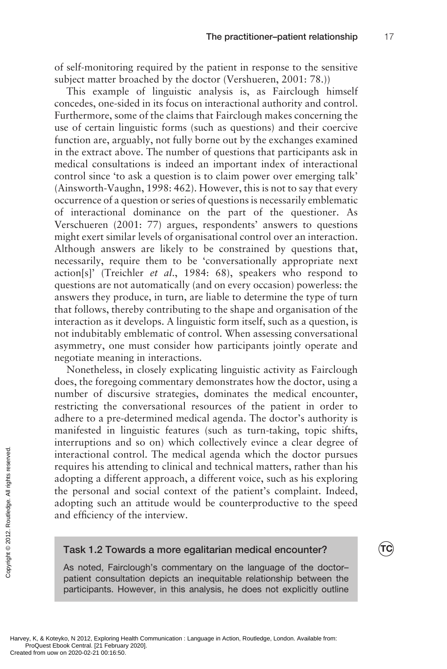of self-monitoring required by the patient in response to the sensitive subject matter broached by the doctor (Vershueren, 2001: 78.))

This example of linguistic analysis is, as Fairclough himself concedes, one-sided in its focus on interactional authority and control. Furthermore, some of the claims that Fairclough makes concerning the use of certain linguistic forms (such as questions) and their coercive function are, arguably, not fully borne out by the exchanges examined in the extract above. The number of questions that participants ask in medical consultations is indeed an important index of interactional control since 'to ask a question is to claim power over emerging talk' (Ainsworth-Vaughn, 1998: 462). However, this is not to say that every occurrence of a question or series of questions is necessarily emblematic of interactional dominance on the part of the questioner. As Verschueren (2001: 77) argues, respondents' answers to questions might exert similar levels of organisational control over an interaction. Although answers are likely to be constrained by questions that, necessarily, require them to be 'conversationally appropriate next action[s]' (Treichler *et al*., 1984: 68), speakers who respond to questions are not automatically (and on every occasion) powerless: the answers they produce, in turn, are liable to determine the type of turn that follows, thereby contributing to the shape and organisation of the interaction as it develops. A linguistic form itself, such as a question, is not indubitably emblematic of control. When assessing conversational asymmetry, one must consider how participants jointly operate and negotiate meaning in interactions.

Nonetheless, in closely explicating linguistic activity as Fairclough does, the foregoing commentary demonstrates how the doctor, using a number of discursive strategies, dominates the medical encounter, restricting the conversational resources of the patient in order to adhere to a pre-determined medical agenda. The doctor's authority is manifested in linguistic features (such as turn-taking, topic shifts, interruptions and so on) which collectively evince a clear degree of interactional control. The medical agenda which the doctor pursues requires his attending to clinical and technical matters, rather than his adopting a different approach, a different voice, such as his exploring the personal and social context of the patient's complaint. Indeed, adopting such an attitude would be counterproductive to the speed and efficiency of the interview. Best interactional condensity<br>  $\frac{1}{2}$  interactional condensity and differ<br>
the personal and<br>
adopting such a<br>
and efficiency of<br>
and efficiency of<br> **Task 1.2 Tow**<br>
As noted, Fairc<br>
patient consult,<br>
participants. He<br>

#### Task 1.2 Towards a more egalitarian medical encounter?

As noted, Fairclough's commentary on the language of the doctor– patient consultation depicts an inequitable relationship between the participants. However, in this analysis, he does not explicitly outline TC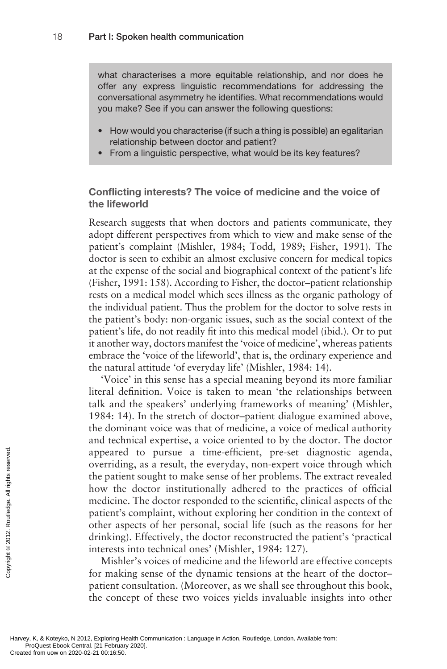what characterises a more equitable relationship, and nor does he offer any express linguistic recommendations for addressing the conversational asymmetry he identifies. What recommendations would you make? See if you can answer the following questions:

- How would you characterise (if such a thing is possible) an egalitarian relationship between doctor and patient?
- From a linguistic perspective, what would be its key features?

#### Conflicting interests? The voice of medicine and the voice of the lifeworld

Research suggests that when doctors and patients communicate, they adopt different perspectives from which to view and make sense of the patient's complaint (Mishler, 1984; Todd, 1989; Fisher, 1991). The doctor is seen to exhibit an almost exclusive concern for medical topics at the expense of the social and biographical context of the patient's life (Fisher, 1991: 158). According to Fisher, the doctor–patient relationship rests on a medical model which sees illness as the organic pathology of the individual patient. Thus the problem for the doctor to solve rests in the patient's body: non-organic issues, such as the social context of the patient's life, do not readily fit into this medical model (ibid.). Or to put it another way, doctors manifest the 'voice of medicine', whereas patients embrace the 'voice of the lifeworld', that is, the ordinary experience and the natural attitude 'of everyday life' (Mishler, 1984: 14).

'Voice' in this sense has a special meaning beyond its more familiar literal definition. Voice is taken to mean 'the relationships between talk and the speakers' underlying frameworks of meaning' (Mishler, 1984: 14). In the stretch of doctor–patient dialogue examined above, the dominant voice was that of medicine, a voice of medical authority and technical expertise, a voice oriented to by the doctor. The doctor appeared to pursue a time-efficient, pre-set diagnostic agenda, overriding, as a result, the everyday, non-expert voice through which the patient sought to make sense of her problems. The extract revealed how the doctor institutionally adhered to the practices of official medicine. The doctor responded to the scientific, clinical aspects of the patient's complaint, without exploring her condition in the context of other aspects of her personal, social life (such as the reasons for her drinking). Effectively, the doctor reconstructed the patient's 'practical interests into technical ones' (Mishler, 1984: 127).  $\begin{array}{ll}\n\text{appeace} \text{over-dir} \text{ in the practice } \text{in the rate} \text{ in the price } \text{in the rate } \text{in the rate } \text{in the medicine } \text{patient's} \text{ in the machine } \text{in the endicine } \text{atient's} \text{ in the same } \text{in the time } \text{in the case } \text{in the case } \text{in the case} \text{ in the case } \text{in the case} \text{ in the case } \text{in the case} \text{ in the case } \text{in the case } \text{in the case } \text{in the case } \text{in the case } \text{in the case } \text{in the case } \text{in the case } \text{in the case } \text$ 

Mishler's voices of medicine and the lifeworld are effective concepts for making sense of the dynamic tensions at the heart of the doctor– patient consultation. (Moreover, as we shall see throughout this book, the concept of these two voices yields invaluable insights into other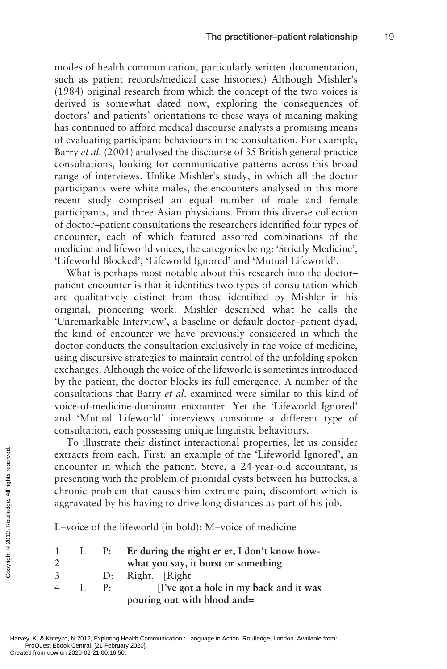modes of health communication, particularly written documentation, such as patient records/medical case histories.) Although Mishler's (1984) original research from which the concept of the two voices is derived is somewhat dated now, exploring the consequences of doctors' and patients' orientations to these ways of meaning-making has continued to afford medical discourse analysts a promising means of evaluating participant behaviours in the consultation. For example, Barry *et al.* (2001) analysed the discourse of 35 British general practice consultations, looking for communicative patterns across this broad range of interviews. Unlike Mishler's study, in which all the doctor participants were white males, the encounters analysed in this more recent study comprised an equal number of male and female participants, and three Asian physicians. From this diverse collection of doctor–patient consultations the researchers identified four types of encounter, each of which featured assorted combinations of the medicine and lifeworld voices, the categories being: 'Strictly Medicine', 'Lifeworld Blocked', 'Lifeworld Ignored' and 'Mutual Lifeworld'.

What is perhaps most notable about this research into the doctor– patient encounter is that it identifies two types of consultation which are qualitatively distinct from those identified by Mishler in his original, pioneering work. Mishler described what he calls the 'Unremarkable Interview', a baseline or default doctor–patient dyad, the kind of encounter we have previously considered in which the doctor conducts the consultation exclusively in the voice of medicine, using discursive strategies to maintain control of the unfolding spoken exchanges. Although the voice of the lifeworld is sometimes introduced by the patient, the doctor blocks its full emergence. A number of the consultations that Barry *et al*. examined were similar to this kind of voice-of-medicine-dominant encounter. Yet the 'Lifeworld Ignored' and 'Mutual Lifeworld' interviews constitute a different type of consultation, each possessing unique linguistic behaviours.

To illustrate their distinct interactional properties, let us consider extracts from each. First: an example of the 'Lifeworld Ignored', an encounter in which the patient, Steve, a 24-year-old accountant, is presenting with the problem of pilonidal cysts between his buttocks, a chronic problem that causes him extreme pain, discomfort which is aggravated by his having to drive long distances as part of his job. Extracts from each<br>
grading with the presenting with the presenting with the chronic problem<br>
aggravated by himaggravated by himaggravated by himaggravated by himaggravated by himaggravated by himaggravated by the line of

L=voice of the lifeworld (in bold); M=voice of medicine

| $\mathbf{1}$ | $\mathbf{L}$ | P:                        | Er during the night er er, I don't know how- |
|--------------|--------------|---------------------------|----------------------------------------------|
|              |              |                           | what you say, it burst or something          |
| 3            |              |                           | D: Right. [Right]                            |
| 4            | $\mathbf{L}$ | $\mathbf{P}_{\mathbf{r}}$ | I've got a hole in my back and it was        |
|              |              |                           | pouring out with blood and=                  |

Harvey, K, & Koteyko, N 2012, Exploring Health Communication : Language in Action, Routledge, London. Available from: ProQuest Ebook Central. [21 February 2020]. Created from uow on 2020-02-21 00:16:50.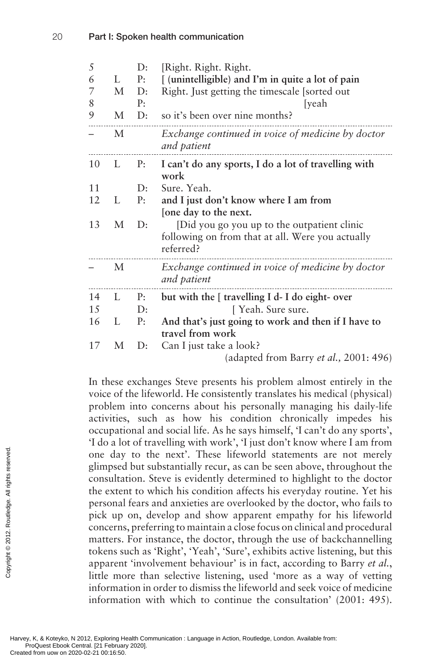| 5  |   | D: | [Right. Right. Right.                                            |
|----|---|----|------------------------------------------------------------------|
| 6  | L | P: | [(unintelligible) and I'm in quite a lot of pain                 |
| 7  | М | D: | Right. Just getting the timescale [sorted out                    |
| 8  |   | P: | [yeah                                                            |
| 9  | М | D: | so it's been over nine months?                                   |
|    | M |    | Exchange continued in voice of medicine by doctor<br>and patient |
| 10 | L | P: | I can't do any sports, I do a lot of travelling with<br>work     |
| 11 |   | D: | Sure. Yeah.                                                      |
| 12 | L | P: | and I just don't know where I am from                            |
|    |   |    | [one day to the next.                                            |
| 13 | M | D: | [Did you go you up to the outpatient clinic                      |
|    |   |    | following on from that at all. Were you actually<br>referred?    |
|    | М |    | Exchange continued in voice of medicine by doctor<br>and patient |
|    |   |    |                                                                  |
| 14 | L | P: | but with the [travelling I d- I do eight-over                    |
| 15 |   | D: | [Yeah. Sure sure.                                                |
| 16 | L | P: | And that's just going to work and then if I have to              |
|    |   |    | travel from work                                                 |
| 17 | М | D: | Can I just take a look?                                          |
|    |   |    | (adapted from Barry <i>et al.</i> , 2001: 496)                   |

In these exchanges Steve presents his problem almost entirely in the voice of the lifeworld. He consistently translates his medical (physical) problem into concerns about his personally managing his daily-life activities, such as how his condition chronically impedes his occupational and social life. As he says himself, 'I can't do any sports', 'I do a lot of travelling with work', 'I just don't know where I am from one day to the next'. These lifeworld statements are not merely glimpsed but substantially recur, as can be seen above, throughout the consultation. Steve is evidently determined to highlight to the doctor the extent to which his condition affects his everyday routine. Yet his personal fears and anxieties are overlooked by the doctor, who fails to pick up on, develop and show apparent empathy for his lifeworld concerns, preferring to maintain a close focus on clinical and procedural matters. For instance, the doctor, through the use of backchannelling tokens such as 'Right', 'Yeah', 'Sure', exhibits active listening, but this apparent 'involvement behaviour' is in fact, according to Barry *et al.*, little more than selective listening, used 'more as a way of vetting information in order to dismiss the lifeworld and seek voice of medicine information with which to continue the consultation' (2001: 495). one day<br>
glimpsed<br>
grading glimpsed<br>
consulta<br>
the exter<br>
personal<br>
pick up<br>
concerns<br>
matters.<br>
tokens su<br>
apparent<br>
little mo<br>
informat<br>
informat<br>
informat<br>
matters.<br>
tokens su<br>
apparent<br>
little mo<br>
informat<br>
mformat<br>

Harvey, K, & Koteyko, N 2012, Exploring Health Communication : Language in Action, Routledge, London. Available from: ProQuest Ebook Central. [21 February 2020]. Created from uow on 2020-02-21 00:16:50.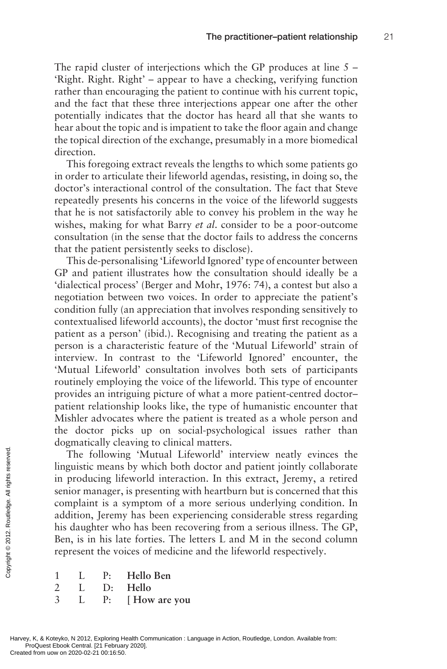The rapid cluster of interjections which the GP produces at line 5 – 'Right. Right. Right' – appear to have a checking, verifying function rather than encouraging the patient to continue with his current topic, and the fact that these three interjections appear one after the other potentially indicates that the doctor has heard all that she wants to hear about the topic and is impatient to take the floor again and change the topical direction of the exchange, presumably in a more biomedical direction.

This foregoing extract reveals the lengths to which some patients go in order to articulate their lifeworld agendas, resisting, in doing so, the doctor's interactional control of the consultation. The fact that Steve repeatedly presents his concerns in the voice of the lifeworld suggests that he is not satisfactorily able to convey his problem in the way he wishes, making for what Barry *et al*. consider to be a poor-outcome consultation (in the sense that the doctor fails to address the concerns that the patient persistently seeks to disclose).

This de-personalising 'Lifeworld Ignored' type of encounter between GP and patient illustrates how the consultation should ideally be a 'dialectical process' (Berger and Mohr, 1976: 74), a contest but also a negotiation between two voices. In order to appreciate the patient's condition fully (an appreciation that involves responding sensitively to contextualised lifeworld accounts), the doctor 'must first recognise the patient as a person' (ibid.). Recognising and treating the patient as a person is a characteristic feature of the 'Mutual Lifeworld' strain of interview. In contrast to the 'Lifeworld Ignored' encounter, the 'Mutual Lifeworld' consultation involves both sets of participants routinely employing the voice of the lifeworld. This type of encounter provides an intriguing picture of what a more patient-centred doctor– patient relationship looks like, the type of humanistic encounter that Mishler advocates where the patient is treated as a whole person and the doctor picks up on social-psychological issues rather than dogmatically cleaving to clinical matters.

The following 'Mutual Lifeworld' interview neatly evinces the linguistic means by which both doctor and patient jointly collaborate in producing lifeworld interaction. In this extract, Jeremy, a retired senior manager, is presenting with heartburn but is concerned that this complaint is a symptom of a more serious underlying condition. In addition, Jeremy has been experiencing considerable stress regarding his daughter who has been recovering from a serious illness. The GP, Ben, is in his late forties. The letters L and M in the second column represent the voices of medicine and the lifeworld respectively. The followin<br>
grading linguistic means<br>
in producing life<br>
senior manager,<br>
complaint is a s<br>
addition, Jeremy<br>
his daughter wh<br>
Ben, is in his lat<br>
represent the voir<br>  $\overrightarrow{AB}$ <br>  $\overrightarrow{AB}$ <br>  $\overrightarrow{BC}$ <br>  $\overrightarrow{AB}$ <br>  $\overrightarrow{BC}$ <br>  $\$ 

| 1              |  | P: Hello Ben      |
|----------------|--|-------------------|
| $\overline{2}$ |  | D: Hello          |
| 3              |  | $P:$ [How are you |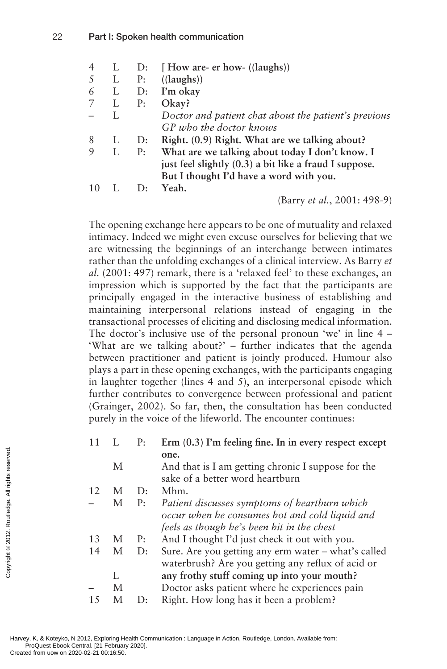| 4  |   | D:             | [How are- er how- ((laughs))                           |
|----|---|----------------|--------------------------------------------------------|
| .5 | L | P:             | ((laughs))                                             |
| 6  | L | D:             | I'm okay                                               |
|    | L | P:             | Okay?                                                  |
|    | L |                | Doctor and patient chat about the patient's previous   |
|    |   |                | GP who the doctor knows                                |
| 8  | L | D:             | Right. (0.9) Right. What are we talking about?         |
|    |   | P <sub>1</sub> | What are we talking about today I don't know. I        |
|    |   |                | just feel slightly (0.3) a bit like a fraud I suppose. |
|    |   |                | But I thought I'd have a word with you.                |
| 10 |   | $\mathbf{D}$ : | Yeah.                                                  |
|    |   |                | (Barry et al., 2001: 498-9)                            |
|    |   |                |                                                        |

The opening exchange here appears to be one of mutuality and relaxed intimacy. Indeed we might even excuse ourselves for believing that we are witnessing the beginnings of an interchange between intimates rather than the unfolding exchanges of a clinical interview. As Barry *et al.* (2001: 497) remark, there is a 'relaxed feel' to these exchanges, an impression which is supported by the fact that the participants are principally engaged in the interactive business of establishing and maintaining interpersonal relations instead of engaging in the transactional processes of eliciting and disclosing medical information. The doctor's inclusive use of the personal pronoun 'we' in line 4 – 'What are we talking about?' – further indicates that the agenda between practitioner and patient is jointly produced. Humour also plays a part in these opening exchanges, with the participants engaging in laughter together (lines 4 and 5), an interpersonal episode which further contributes to convergence between professional and patient (Grainger, 2002). So far, then, the consultation has been conducted purely in the voice of the lifeworld. The encounter continues:

|                                                                                         | 11 |   | P: | Erm $(0.3)$ I'm feeling fine. In in every respect except                                                              |
|-----------------------------------------------------------------------------------------|----|---|----|-----------------------------------------------------------------------------------------------------------------------|
|                                                                                         |    |   |    | one.                                                                                                                  |
|                                                                                         |    | M |    | And that is I am getting chronic I suppose for the                                                                    |
|                                                                                         |    |   |    | sake of a better word heartburn                                                                                       |
|                                                                                         | 12 | M | D: | Mhm.                                                                                                                  |
|                                                                                         |    | M | P: | Patient discusses symptoms of heartburn which                                                                         |
|                                                                                         |    |   |    | occur when he consumes hot and cold liquid and                                                                        |
|                                                                                         |    |   |    | feels as though he's been hit in the chest                                                                            |
|                                                                                         | 13 | M | P: | And I thought I'd just check it out with you.                                                                         |
| Copyright © 2012. Routledge. All rights reserved                                        | 14 | M | D: | Sure. Are you getting any erm water - what's called                                                                   |
|                                                                                         |    |   |    | waterbrush? Are you getting any reflux of acid or                                                                     |
|                                                                                         |    | L |    | any frothy stuff coming up into your mouth?                                                                           |
|                                                                                         |    | M |    | Doctor asks patient where he experiences pain                                                                         |
|                                                                                         | 15 | M | D: | Right. How long has it been a problem?                                                                                |
|                                                                                         |    |   |    |                                                                                                                       |
|                                                                                         |    |   |    |                                                                                                                       |
|                                                                                         |    |   |    | Harvey, K, & Koteyko, N 2012, Exploring Health Communication : Language in Action, Routledge, London. Available from: |
| ProQuest Ebook Central. [21 February 2020].<br>Created from uow on 2020-02-21 00:16:50. |    |   |    |                                                                                                                       |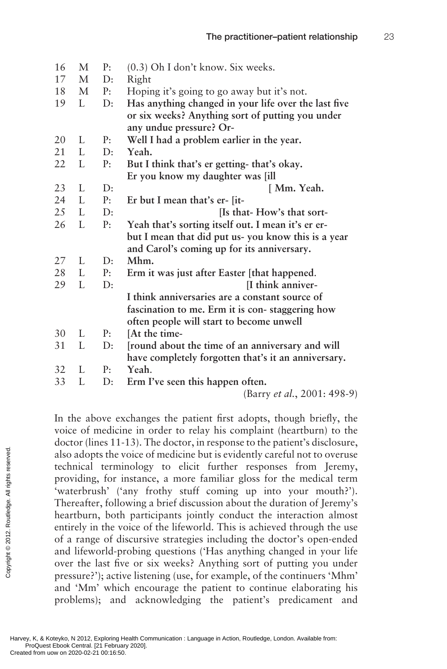| 16 | М            | P: | (0.3) Oh I don't know. Six weeks.                    |
|----|--------------|----|------------------------------------------------------|
| 17 | M            | D: | Right                                                |
| 18 | M            | P: | Hoping it's going to go away but it's not.           |
| 19 | L            | D: | Has anything changed in your life over the last five |
|    |              |    | or six weeks? Anything sort of putting you under     |
|    |              |    | any undue pressure? Or-                              |
| 20 | L            | P: | Well I had a problem earlier in the year.            |
| 21 | L            | D: | Yeah.                                                |
| 22 | L            | P: | But I think that's er getting- that's okay.          |
|    |              |    | Er you know my daughter was [ill]                    |
| 23 | L            | D: | [ Mm. Yeah.                                          |
| 24 | $\mathbf{L}$ | P: | Er but I mean that's er- [it-                        |
| 25 | L            | D: | [Is that-How's that sort-                            |
| 26 | L            | P: | Yeah that's sorting itself out. I mean it's er er-   |
|    |              |    | but I mean that did put us-you know this is a year   |
|    |              |    | and Carol's coming up for its anniversary.           |
| 27 | L            | D: | Mhm.                                                 |
| 28 | L            | P: | Erm it was just after Easter [that happened.         |
| 29 | $\mathbf{L}$ | D: | I think anniver-                                     |
|    |              |    | I think anniversaries are a constant source of       |
|    |              |    | fascination to me. Erm it is con-staggering how      |
|    |              |    | often people will start to become unwell             |
| 30 | L            | P: | [At the time-                                        |
| 31 | $\mathbf{L}$ | D: | [round about the time of an anniversary and will     |
|    |              |    | have completely forgotten that's it an anniversary.  |
| 32 | L            | P: | Yeah.                                                |
| 33 | L            | D: | Erm I've seen this happen often.                     |
|    |              |    | (Barry et al., 2001: 498-9)                          |

In the above exchanges the patient first adopts, though briefly, the voice of medicine in order to relay his complaint (heartburn) to the doctor (lines 11-13). The doctor, in response to the patient's disclosure, also adopts the voice of medicine but is evidently careful not to overuse technical terminology to elicit further responses from Jeremy, providing, for instance, a more familiar gloss for the medical term 'waterbrush' ('any frothy stuff coming up into your mouth?'). Thereafter, following a brief discussion about the duration of Jeremy's heartburn, both participants jointly conduct the interaction almost entirely in the voice of the lifeworld. This is achieved through the use of a range of discursive strategies including the doctor's open-ended and lifeworld-probing questions ('Has anything changed in your life over the last five or six weeks? Anything sort of putting you under pressure?'); active listening (use, for example, of the continuers 'Mhm' and 'Mm' which encourage the patient to continue elaborating his problems); and acknowledging the patient's predicament and Bestondand termin providing, for in<br>technical termin<br>providing, for in<br> $\frac{1}{2}$  functions in the vector of a range of distand lifeworld-pr<br>over the last five pressure?'); active and 'Mm' whicl<br>problems); and that the pro

Harvey, K, & Koteyko, N 2012, Exploring Health Communication : Language in Action, Routledge, London. Available from: ProQuest Ebook Central. [21 February 2020]. Created from uow on 2020-02-21 00:16:50.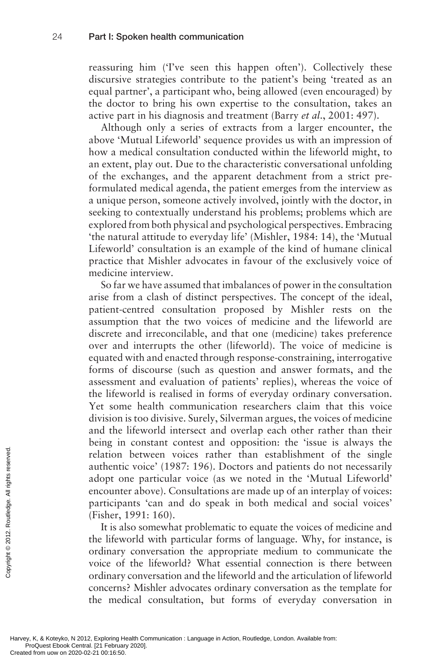reassuring him ('I've seen this happen often'). Collectively these discursive strategies contribute to the patient's being 'treated as an equal partner', a participant who, being allowed (even encouraged) by the doctor to bring his own expertise to the consultation, takes an active part in his diagnosis and treatment (Barry *et al*., 2001: 497).

Although only a series of extracts from a larger encounter, the above 'Mutual Lifeworld' sequence provides us with an impression of how a medical consultation conducted within the lifeworld might, to an extent, play out. Due to the characteristic conversational unfolding of the exchanges, and the apparent detachment from a strict preformulated medical agenda, the patient emerges from the interview as a unique person, someone actively involved, jointly with the doctor, in seeking to contextually understand his problems; problems which are explored from both physical and psychological perspectives. Embracing 'the natural attitude to everyday life' (Mishler, 1984: 14), the 'Mutual Lifeworld' consultation is an example of the kind of humane clinical practice that Mishler advocates in favour of the exclusively voice of medicine interview.

So far we have assumed that imbalances of power in the consultation arise from a clash of distinct perspectives. The concept of the ideal, patient-centred consultation proposed by Mishler rests on the assumption that the two voices of medicine and the lifeworld are discrete and irreconcilable, and that one (medicine) takes preference over and interrupts the other (lifeworld). The voice of medicine is equated with and enacted through response-constraining, interrogative forms of discourse (such as question and answer formats, and the assessment and evaluation of patients' replies), whereas the voice of the lifeworld is realised in forms of everyday ordinary conversation. Yet some health communication researchers claim that this voice division is too divisive. Surely, Silverman argues, the voices of medicine and the lifeworld intersect and overlap each other rather than their being in constant contest and opposition: the 'issue is always the relation between voices rather than establishment of the single authentic voice' (1987: 196). Doctors and patients do not necessarily adopt one particular voice (as we noted in the 'Mutual Lifeworld' encounter above). Consultations are made up of an interplay of voices: participants 'can and do speak in both medical and social voices' (Fisher, 1991: 160).

It is also somewhat problematic to equate the voices of medicine and the lifeworld with particular forms of language. Why, for instance, is ordinary conversation the appropriate medium to communicate the voice of the lifeworld? What essential connection is there between ordinary conversation and the lifeworld and the articulation of lifeworld concerns? Mishler advocates ordinary conversation as the template for the medical consultation, but forms of everyday conversation in  $\begin{array}{ll}\n\text{y} & \text{relation} & \text{authentication} \\
\text{g} & \text{d} & \text{d} & \text{d} & \text{d} \\
\text{g} & \text{d} & \text{d} & \text{e} & \text{c} \\
\text{e} & \text{d} & \text{e} & \text{c} & \text{d} \\
\text{h} & \text{f} & \text{g} & \text{g} & \text{d} \\
\text{h} & \text{h} & \text{h} & \text{e} & \text{h} \\
\text{h} & \text{h} & \text{h} & \text{e} & \text{h} \\
\text{h} & \text{h} & \text$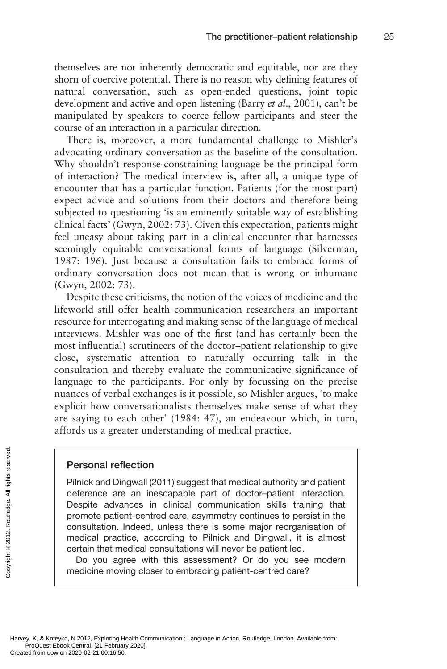themselves are not inherently democratic and equitable, nor are they shorn of coercive potential. There is no reason why defining features of natural conversation, such as open-ended questions, joint topic development and active and open listening (Barry *et al*., 2001), can't be manipulated by speakers to coerce fellow participants and steer the course of an interaction in a particular direction.

There is, moreover, a more fundamental challenge to Mishler's advocating ordinary conversation as the baseline of the consultation. Why shouldn't response-constraining language be the principal form of interaction? The medical interview is, after all, a unique type of encounter that has a particular function. Patients (for the most part) expect advice and solutions from their doctors and therefore being subjected to questioning 'is an eminently suitable way of establishing clinical facts' (Gwyn, 2002: 73). Given this expectation, patients might feel uneasy about taking part in a clinical encounter that harnesses seemingly equitable conversational forms of language (Silverman, 1987: 196). Just because a consultation fails to embrace forms of ordinary conversation does not mean that is wrong or inhumane (Gwyn, 2002: 73).

Despite these criticisms, the notion of the voices of medicine and the lifeworld still offer health communication researchers an important resource for interrogating and making sense of the language of medical interviews. Mishler was one of the first (and has certainly been the most influential) scrutineers of the doctor-patient relationship to give close, systematic attention to naturally occurring talk in the consultation and thereby evaluate the communicative significance of language to the participants. For only by focussing on the precise nuances of verbal exchanges is it possible, so Mishler argues, 'to make explicit how conversationalists themselves make sense of what they are saying to each other' (1984: 47), an endeavour which, in turn, affords us a greater understanding of medical practice.

#### Personal reflection

Pilnick and Dingwall (2011) suggest that medical authority and patient deference are an inescapable part of doctor–patient interaction. Despite advances in clinical communication skills training that promote patient-centred care, asymmetry continues to persist in the consultation. Indeed, unless there is some major reorganisation of medical practice, according to Pilnick and Dingwall, it is almost certain that medical consultations will never be patient led. Personal refl<br>
Personal refl<br>
Pilnick and Din<br>
deference are<br>
Despite advar<br>
promote patier<br>
consultation. In<br>
medical practi<br>
certain that me<br>
Do you agr<br>
medicine movi<br>
medicine movi<br>
Proquest Ebook Central. [21 Februar<br>

Do you agree with this assessment? Or do you see modern medicine moving closer to embracing patient-centred care?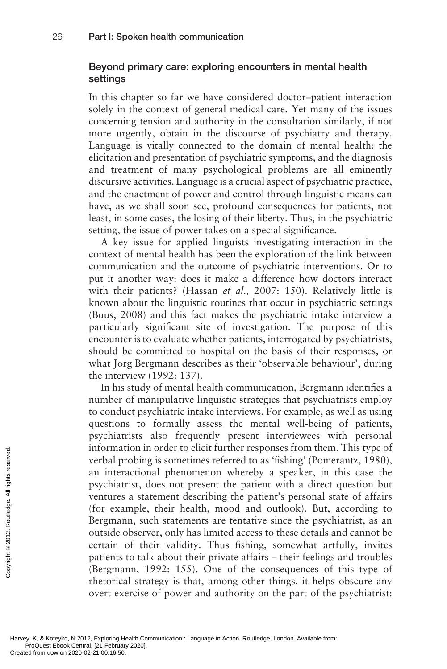#### Beyond primary care: exploring encounters in mental health settings

In this chapter so far we have considered doctor–patient interaction solely in the context of general medical care. Yet many of the issues concerning tension and authority in the consultation similarly, if not more urgently, obtain in the discourse of psychiatry and therapy. Language is vitally connected to the domain of mental health: the elicitation and presentation of psychiatric symptoms, and the diagnosis and treatment of many psychological problems are all eminently discursive activities. Language is a crucial aspect of psychiatric practice, and the enactment of power and control through linguistic means can have, as we shall soon see, profound consequences for patients, not least, in some cases, the losing of their liberty. Thus, in the psychiatric setting, the issue of power takes on a special significance.

A key issue for applied linguists investigating interaction in the context of mental health has been the exploration of the link between communication and the outcome of psychiatric interventions. Or to put it another way: does it make a difference how doctors interact with their patients? (Hassan *et al.,* 2007: 150). Relatively little is known about the linguistic routines that occur in psychiatric settings (Buus, 2008) and this fact makes the psychiatric intake interview a particularly significant site of investigation. The purpose of this encounter is to evaluate whether patients, interrogated by psychiatrists, should be committed to hospital on the basis of their responses, or what Jorg Bergmann describes as their 'observable behaviour', during the interview (1992: 137).

In his study of mental health communication, Bergmann identifies a number of manipulative linguistic strategies that psychiatrists employ to conduct psychiatric intake interviews. For example, as well as using questions to formally assess the mental well-being of patients, psychiatrists also frequently present interviewees with personal information in order to elicit further responses from them. This type of verbal probing is sometimes referred to as 'fishing' (Pomerantz, 1980), an interactional phenomenon whereby a speaker, in this case the psychiatrist, does not present the patient with a direct question but ventures a statement describing the patient's personal state of affairs (for example, their health, mood and outlook). But, according to Bergmann, such statements are tentative since the psychiatrist, as an outside observer, only has limited access to these details and cannot be certain of their validity. Thus fishing, somewhat artfully, invites patients to talk about their private affairs – their feelings and troubles (Bergmann, 1992: 155). One of the consequences of this type of rhetorical strategy is that, among other things, it helps obscure any overt exercise of power and authority on the part of the psychiatrist: &'/(! \*0&+\*###(! \*)()(,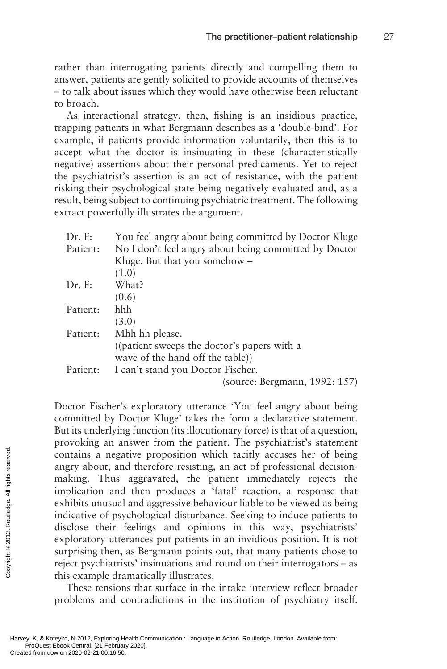rather than interrogating patients directly and compelling them to answer, patients are gently solicited to provide accounts of themselves – to talk about issues which they would have otherwise been reluctant to broach.

As interactional strategy, then, fishing is an insidious practice, trapping patients in what Bergmann describes as a 'double-bind'. For example, if patients provide information voluntarily, then this is to accept what the doctor is insinuating in these (characteristically negative) assertions about their personal predicaments. Yet to reject the psychiatrist's assertion is an act of resistance, with the patient risking their psychological state being negatively evaluated and, as a result, being subject to continuing psychiatric treatment. The following extract powerfully illustrates the argument.

| Dr. F:   | You feel angry about being committed by Doctor Kluge  |
|----------|-------------------------------------------------------|
| Patient: | No I don't feel angry about being committed by Doctor |
|          | Kluge. But that you somehow $-$                       |
|          | (1.0)                                                 |
| Dr. F:   | What?                                                 |
|          | (0.6)                                                 |
| Patient: | hhh                                                   |
|          | (3.0)                                                 |
| Patient: | Mhh hh please.                                        |
|          | ((patient sweeps the doctor's papers with a           |
|          | wave of the hand off the table))                      |
| Patient: | I can't stand you Doctor Fischer.                     |
|          | (source: Bergmann, 1992: 157)                         |
|          |                                                       |

Doctor Fischer's exploratory utterance 'You feel angry about being committed by Doctor Kluge' takes the form a declarative statement. But its underlying function (its illocutionary force) is that of a question, provoking an answer from the patient. The psychiatrist's statement contains a negative proposition which tacitly accuses her of being angry about, and therefore resisting, an act of professional decisionmaking. Thus aggravated, the patient immediately rejects the implication and then produces a 'fatal' reaction, a response that exhibits unusual and aggressive behaviour liable to be viewed as being indicative of psychological disturbance. Seeking to induce patients to disclose their feelings and opinions in this way, psychiatrists' exploratory utterances put patients in an invidious position. It is not surprising then, as Bergmann points out, that many patients chose to reject psychiatrists' insinuations and round on their interrogators – as this example dramatically illustrates. Fraction and the same of the set of the set of the set of the set of the set of the set of the set of the set of the set of the set of the set of the set of the set of the set of the set of the set of the set of the set o

These tensions that surface in the intake interview reflect broader problems and contradictions in the institution of psychiatry itself.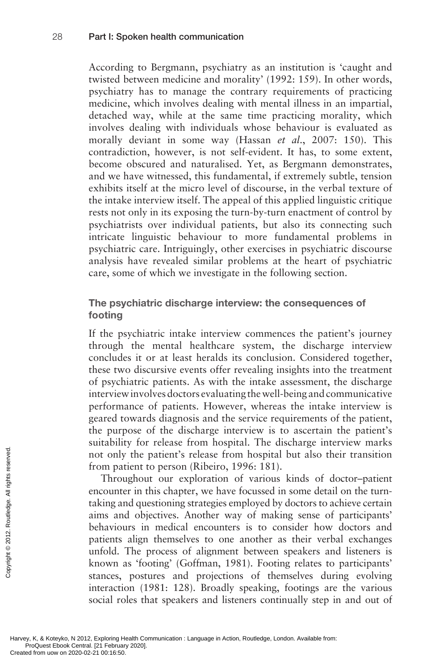According to Bergmann, psychiatry as an institution is 'caught and twisted between medicine and morality' (1992: 159). In other words, psychiatry has to manage the contrary requirements of practicing medicine, which involves dealing with mental illness in an impartial, detached way, while at the same time practicing morality, which involves dealing with individuals whose behaviour is evaluated as morally deviant in some way (Hassan *et al*., 2007: 150). This contradiction, however, is not self-evident. It has, to some extent, become obscured and naturalised. Yet, as Bergmann demonstrates, and we have witnessed, this fundamental, if extremely subtle, tension exhibits itself at the micro level of discourse, in the verbal texture of the intake interview itself. The appeal of this applied linguistic critique rests not only in its exposing the turn-by-turn enactment of control by psychiatrists over individual patients, but also its connecting such intricate linguistic behaviour to more fundamental problems in psychiatric care. Intriguingly, other exercises in psychiatric discourse analysis have revealed similar problems at the heart of psychiatric care, some of which we investigate in the following section.

#### The psychiatric discharge interview: the consequences of footing

If the psychiatric intake interview commences the patient's journey through the mental healthcare system, the discharge interview concludes it or at least heralds its conclusion. Considered together, these two discursive events offer revealing insights into the treatment of psychiatric patients. As with the intake assessment, the discharge interview involves doctors evaluating the well-being and communicative performance of patients. However, whereas the intake interview is geared towards diagnosis and the service requirements of the patient, the purpose of the discharge interview is to ascertain the patient's suitability for release from hospital. The discharge interview marks not only the patient's release from hospital but also their transition from patient to person (Ribeiro, 1996: 181).

Throughout our exploration of various kinds of doctor–patient encounter in this chapter, we have focussed in some detail on the turntaking and questioning strategies employed by doctors to achieve certain aims and objectives. Another way of making sense of participants' behaviours in medical encounters is to consider how doctors and patients align themselves to one another as their verbal exchanges unfold. The process of alignment between speakers and listeners is known as 'footing' (Goffman, 1981). Footing relates to participants' stances, postures and projections of themselves during evolving interaction (1981: 128). Broadly speaking, footings are the various social roles that speakers and listeners continually step in and out of From pat<br>  $\frac{1}{2}$ <br>  $\frac{1}{2}$ <br>  $\frac{1}{3}$ <br>  $\frac{1}{3}$ <br>  $\frac{1}{3}$ <br>  $\frac{1}{3}$ <br>  $\frac{1}{3}$ <br>  $\frac{1}{3}$ <br>  $\frac{1}{3}$ <br>  $\frac{1}{3}$ <br>  $\frac{1}{3}$ <br>  $\frac{1}{3}$ <br>  $\frac{1}{3}$ <br>  $\frac{1}{3}$ <br>  $\frac{1}{3}$ <br>  $\frac{1}{3}$ <br>  $\frac{1}{3}$ <br>  $\frac{1}{3}$ <br>  $\frac{1}{3}$ <br>  $\$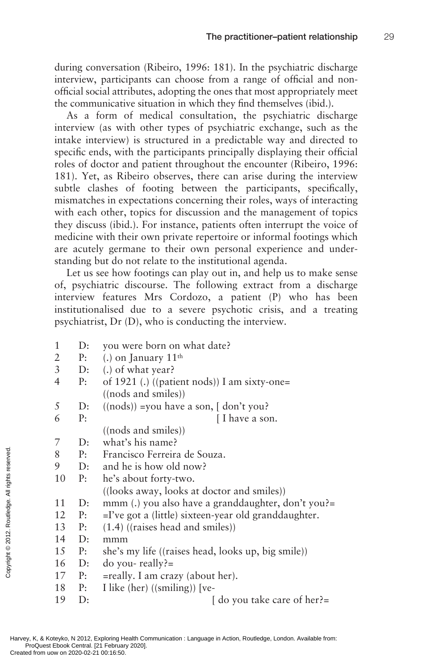during conversation (Ribeiro, 1996: 181). In the psychiatric discharge interview, participants can choose from a range of official and nonofficial social attributes, adopting the ones that most appropriately meet the communicative situation in which they find themselves (ibid.).

As a form of medical consultation, the psychiatric discharge interview (as with other types of psychiatric exchange, such as the intake interview) is structured in a predictable way and directed to specific ends, with the participants principally displaying their official roles of doctor and patient throughout the encounter (Ribeiro, 1996: 181). Yet, as Ribeiro observes, there can arise during the interview subtle clashes of footing between the participants, specifically, mismatches in expectations concerning their roles, ways of interacting with each other, topics for discussion and the management of topics they discuss (ibid.). For instance, patients often interrupt the voice of medicine with their own private repertoire or informal footings which are acutely germane to their own personal experience and understanding but do not relate to the institutional agenda.

Let us see how footings can play out in, and help us to make sense of, psychiatric discourse. The following extract from a discharge interview features Mrs Cordozo, a patient (P) who has been institutionalised due to a severe psychotic crisis, and a treating psychiatrist, Dr (D), who is conducting the interview.

|                                                   | 1              | D: | you were born on what date?                                                                                           |
|---------------------------------------------------|----------------|----|-----------------------------------------------------------------------------------------------------------------------|
|                                                   | $\sqrt{2}$     | P: | (.) on January $11th$                                                                                                 |
|                                                   | 3              | D: | $(.)$ of what year?                                                                                                   |
|                                                   | $\overline{4}$ | P: | of 1921 (.) ((patient nods)) I am sixty-one=                                                                          |
|                                                   |                |    | ((nodes and smiles))                                                                                                  |
|                                                   | 5              | D: | $((nodes))$ =you have a son, $[don't you?$                                                                            |
|                                                   | 6              | P: | [I have a son.                                                                                                        |
|                                                   |                |    | ((nodes and smiles))                                                                                                  |
|                                                   | 7              | D: | what's his name?                                                                                                      |
|                                                   | 8              | P: | Francisco Ferreira de Souza.                                                                                          |
|                                                   | 9              | D: | and he is how old now?                                                                                                |
| Copyright © 2012. Routledge. All rights reserved. | 10             | P: | he's about forty-two.                                                                                                 |
|                                                   |                |    | ((looks away, looks at doctor and smiles))                                                                            |
|                                                   | 11             | D: | mmm (.) you also have a granddaughter, don't you?=                                                                    |
|                                                   | 12             | P: | $=$ I've got a (little) sixteen-year old granddaughter.                                                               |
|                                                   | 13             | P: | $(1.4)$ ((raises head and smiles))                                                                                    |
|                                                   | 14             | D: | mmm                                                                                                                   |
|                                                   | 15             | P: | she's my life ((raises head, looks up, big smile))                                                                    |
|                                                   | 16             | D: | $\frac{1}{2}$ do you- really?=                                                                                        |
|                                                   | 17             | P: | =really. I am crazy (about her).                                                                                      |
|                                                   | 18             | P: | I like $(her)$ $((smiling))$ [ve-                                                                                     |
|                                                   | 19             | D: | $\int$ do you take care of her?=                                                                                      |
|                                                   |                |    |                                                                                                                       |
|                                                   |                |    |                                                                                                                       |
|                                                   |                |    | Harvey, K, & Koteyko, N 2012, Exploring Health Communication : Language in Action, Routledge, London. Available from: |
| Created from uow on 2020-02-21 00:16:50.          |                |    | ProQuest Ebook Central. [21 February 2020].                                                                           |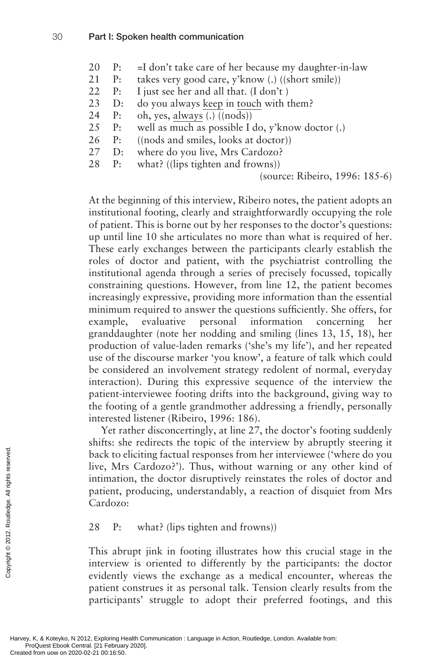| 20 |  | $\upsilon$ P: =I don't take care of her because my daughter-in-law |  |  |  |  |  |
|----|--|--------------------------------------------------------------------|--|--|--|--|--|
|----|--|--------------------------------------------------------------------|--|--|--|--|--|

- 21 P: takes very good care, y'know (.) ((short smile))
- 22 P: I just see her and all that.  $(I don't)$
- 23 D: do you always keep in touch with them?
- 24 P: oh, yes, always  $\overline{(.) (|nods|)}$
- 25 P: well as much as possible I do, y'know doctor (.)
- 26 P: ((nods and smiles, looks at doctor))
- 27 D: where do you live, Mrs Cardozo?
- 28 P: what? ((lips tighten and frowns))

(source: Ribeiro, 1996: 185-6)

At the beginning of this interview, Ribeiro notes, the patient adopts an institutional footing, clearly and straightforwardly occupying the role of patient. This is borne out by her responses to the doctor's questions: up until line 10 she articulates no more than what is required of her. These early exchanges between the participants clearly establish the roles of doctor and patient, with the psychiatrist controlling the institutional agenda through a series of precisely focussed, topically constraining questions. However, from line 12, the patient becomes increasingly expressive, providing more information than the essential minimum required to answer the questions sufficiently. She offers, for example, evaluative personal information concerning her granddaughter (note her nodding and smiling (lines 13, 15, 18), her production of value-laden remarks ('she's my life'), and her repeated use of the discourse marker 'you know', a feature of talk which could be considered an involvement strategy redolent of normal, everyday interaction). During this expressive sequence of the interview the patient-interviewee footing drifts into the background, giving way to the footing of a gentle grandmother addressing a friendly, personally interested listener (Ribeiro, 1996: 186).

Yet rather disconcertingly, at line 27, the doctor's footing suddenly shifts: she redirects the topic of the interview by abruptly steering it back to eliciting factual responses from her interviewee ('where do you live, Mrs Cardozo?'). Thus, without warning or any other kind of intimation, the doctor disruptively reinstates the roles of doctor and patient, producing, understandably, a reaction of disquiet from Mrs Cardozo:  $\begin{array}{ll}\n\text{y} & \text{back to 6} \\
\text{y} & \text{linear, Mr:}\n\end{array}$   $\begin{array}{ll}\n\text{index } \mathbf{R} \\
\text{intimation} \\
\text{intimation} \\
\text{partient,} \\
\text{Cardozoo} \\
\text{sum} \\
\text{sum} \\
\text{sum} \\
\text{sum} \\
\text{sum} \\
\text{sum} \\
\text{sum} \\
\text{sum} \\
\text{sum} \\
\text{sum} \\
\text{sum} \\
\text{sum} \\
\text{sum} \\
\text{sum} \\
\text{sum} \\
\text{sum} \\
\text{sum} \\
\text{sum} \\
\text{sum} \\
\text{sum} \\
\text{$ 

28 P: what? (lips tighten and frowns))

This abrupt jink in footing illustrates how this crucial stage in the interview is oriented to differently by the participants: the doctor evidently views the exchange as a medical encounter, whereas the patient construes it as personal talk. Tension clearly results from the participants' struggle to adopt their preferred footings, and this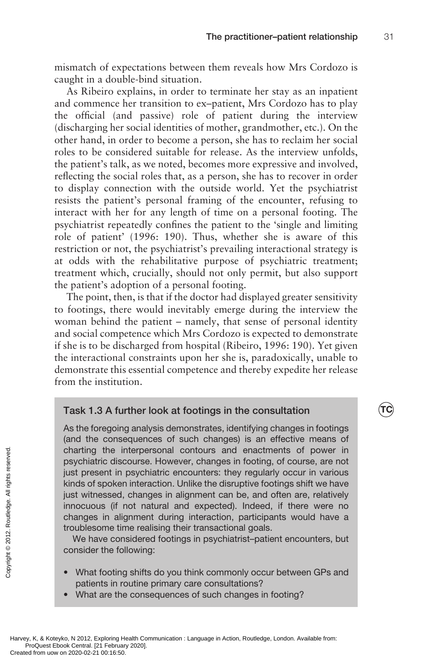mismatch of expectations between them reveals how Mrs Cordozo is caught in a double-bind situation.

As Ribeiro explains, in order to terminate her stay as an inpatient and commence her transition to ex–patient, Mrs Cordozo has to play the official (and passive) role of patient during the interview (discharging her social identities of mother, grandmother, etc.). On the other hand, in order to become a person, she has to reclaim her social roles to be considered suitable for release. As the interview unfolds, the patient's talk, as we noted, becomes more expressive and involved, reflecting the social roles that, as a person, she has to recover in order to display connection with the outside world. Yet the psychiatrist resists the patient's personal framing of the encounter, refusing to interact with her for any length of time on a personal footing. The psychiatrist repeatedly confines the patient to the 'single and limiting role of patient' (1996: 190). Thus, whether she is aware of this restriction or not, the psychiatrist's prevailing interactional strategy is at odds with the rehabilitative purpose of psychiatric treatment; treatment which, crucially, should not only permit, but also support the patient's adoption of a personal footing.

The point, then, is that if the doctor had displayed greater sensitivity to footings, there would inevitably emerge during the interview the woman behind the patient – namely, that sense of personal identity and social competence which Mrs Cordozo is expected to demonstrate if she is to be discharged from hospital (Ribeiro, 1996: 190). Yet given the interactional constraints upon her she is, paradoxically, unable to demonstrate this essential competence and thereby expedite her release from the institution.

#### Task 1.3 A further look at footings in the consultation

As the foregoing analysis demonstrates, identifying changes in footings (and the consequences of such changes) is an effective means of charting the interpersonal contours and enactments of power in psychiatric discourse. However, changes in footing, of course, are not just present in psychiatric encounters: they regularly occur in various kinds of spoken interaction. Unlike the disruptive footings shift we have just witnessed, changes in alignment can be, and often are, relatively innocuous (if not natural and expected). Indeed, if there were no changes in alignment during interaction, participants would have a troublesome time realising their transactional goals. Bester in posychiatric disc<br>
generalized in this contract in this set of spoken<br>
generalized in the set of spoken<br>
generalized in the set of the set of the set of the set of the set of the set of the set of the set of the

We have considered footings in psychiatrist–patient encounters, but consider the following:

- What footing shifts do you think commonly occur between GPs and patients in routine primary care consultations?
- What are the consequences of such changes in footing?

TC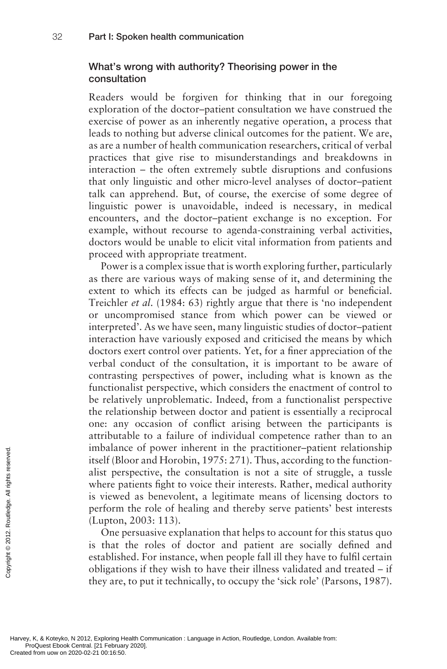#### What's wrong with authority? Theorising power in the consultation

Readers would be forgiven for thinking that in our foregoing exploration of the doctor–patient consultation we have construed the exercise of power as an inherently negative operation, a process that leads to nothing but adverse clinical outcomes for the patient. We are, as are a number of health communication researchers, critical of verbal practices that give rise to misunderstandings and breakdowns in interaction – the often extremely subtle disruptions and confusions that only linguistic and other micro-level analyses of doctor–patient talk can apprehend. But, of course, the exercise of some degree of linguistic power is unavoidable, indeed is necessary, in medical encounters, and the doctor–patient exchange is no exception. For example, without recourse to agenda-constraining verbal activities, doctors would be unable to elicit vital information from patients and proceed with appropriate treatment.

Power is a complex issue that is worth exploring further, particularly as there are various ways of making sense of it, and determining the extent to which its effects can be judged as harmful or beneficial. Treichler *et al*. (1984: 63) rightly argue that there is 'no independent or uncompromised stance from which power can be viewed or interpreted'. As we have seen, many linguistic studies of doctor–patient interaction have variously exposed and criticised the means by which doctors exert control over patients. Yet, for a finer appreciation of the verbal conduct of the consultation, it is important to be aware of contrasting perspectives of power, including what is known as the functionalist perspective, which considers the enactment of control to be relatively unproblematic. Indeed, from a functionalist perspective the relationship between doctor and patient is essentially a reciprocal one: any occasion of conflict arising between the participants is attributable to a failure of individual competence rather than to an imbalance of power inherent in the practitioner–patient relationship itself (Bloor and Horobin, 1975: 271). Thus, according to the functionalist perspective, the consultation is not a site of struggle, a tussle where patients fight to voice their interests. Rather, medical authority is viewed as benevolent, a legitimate means of licensing doctors to perform the role of healing and thereby serve patients' best interests (Lupton, 2003: 113).  $\begin{array}{ll}\n\text{HIDZALI} & \text{intData}} & \text{itself (Bld)}\\ \n\text{inialist per:} & \text{where } p\text{ is viewed} \\ \n\text{in} & \text{int } p\text{erform} \\ \n\text{in } & \text{int } p\text{erform} \\ \n\text{in } & \text{int } p\text{erform} \\ \n\text{in } & \text{int } p\text{erform} \\ \n\text{in } & \text{int } & \text{int } p\text{erform} \\ \n\text{in } & \text{int } & \text{int } & \text{int } & \text{int } & \text{int } & \text{int } & \text{int$ 

One persuasive explanation that helps to account for this status quo is that the roles of doctor and patient are socially defined and established. For instance, when people fall ill they have to fulfil certain obligations if they wish to have their illness validated and treated – if they are, to put it technically, to occupy the 'sick role' (Parsons, 1987).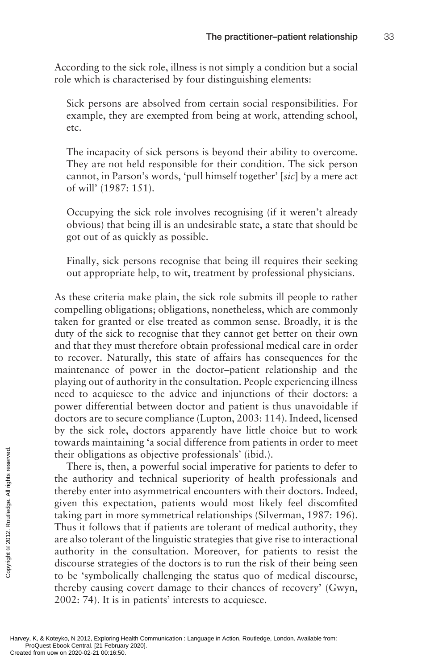According to the sick role, illness is not simply a condition but a social role which is characterised by four distinguishing elements:

Sick persons are absolved from certain social responsibilities. For example, they are exempted from being at work, attending school,  $_{\rho}$ t $_{\rho}$ 

The incapacity of sick persons is beyond their ability to overcome. They are not held responsible for their condition. The sick person cannot, in Parson's words, 'pull himself together' [*sic*] by a mere act of will' (1987: 151).

Occupying the sick role involves recognising (if it weren't already obvious) that being ill is an undesirable state, a state that should be got out of as quickly as possible.

Finally, sick persons recognise that being ill requires their seeking out appropriate help, to wit, treatment by professional physicians.

As these criteria make plain, the sick role submits ill people to rather compelling obligations; obligations, nonetheless, which are commonly taken for granted or else treated as common sense. Broadly, it is the duty of the sick to recognise that they cannot get better on their own and that they must therefore obtain professional medical care in order to recover. Naturally, this state of affairs has consequences for the maintenance of power in the doctor–patient relationship and the playing out of authority in the consultation. People experiencing illness need to acquiesce to the advice and injunctions of their doctors: a power differential between doctor and patient is thus unavoidable if doctors are to secure compliance (Lupton, 2003: 114). Indeed, licensed by the sick role, doctors apparently have little choice but to work towards maintaining 'a social difference from patients in order to meet their obligations as objective professionals' (ibid.).

There is, then, a powerful social imperative for patients to defer to the authority and technical superiority of health professionals and thereby enter into asymmetrical encounters with their doctors. Indeed, given this expectation, patients would most likely feel discomfited taking part in more symmetrical relationships (Silverman, 1987: 196). Thus it follows that if patients are tolerant of medical authority, they are also tolerant of the linguistic strategies that give rise to interactional authority in the consultation. Moreover, for patients to resist the discourse strategies of the doctors is to run the risk of their being seen to be 'symbolically challenging the status quo of medical discourse, thereby causing covert damage to their chances of recovery' (Gwyn, 2002: 74). It is in patients' interests to acquiesce. For their obligations<br>
There is, then<br>
the authority are<br>
the authority are<br>
the authority are<br>
given this expectaking part in mo<br>
Thus it follows the also tolerant<br>
are also tolerant<br>
authority in the<br>
discourse strateg<br>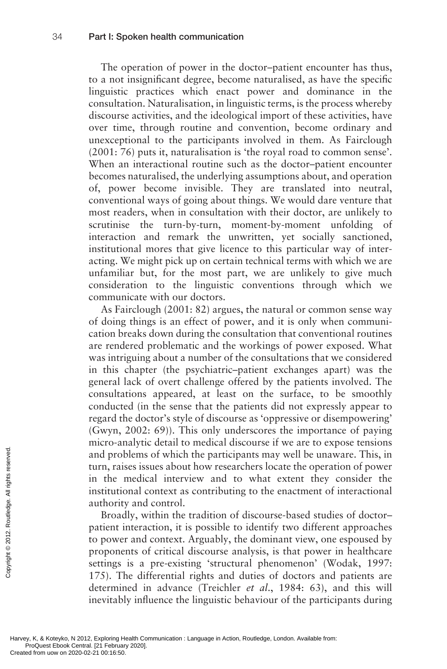The operation of power in the doctor–patient encounter has thus, to a not insignificant degree, become naturalised, as have the specific linguistic practices which enact power and dominance in the consultation. Naturalisation, in linguistic terms, is the process whereby discourse activities, and the ideological import of these activities, have over time, through routine and convention, become ordinary and unexceptional to the participants involved in them. As Fairclough (2001: 76) puts it, naturalisation is 'the royal road to common sense'. When an interactional routine such as the doctor–patient encounter becomes naturalised, the underlying assumptions about, and operation of, power become invisible. They are translated into neutral, conventional ways of going about things. We would dare venture that most readers, when in consultation with their doctor, are unlikely to scrutinise the turn-by-turn, moment-by-moment unfolding of interaction and remark the unwritten, yet socially sanctioned, institutional mores that give licence to this particular way of interacting. We might pick up on certain technical terms with which we are unfamiliar but, for the most part, we are unlikely to give much consideration to the linguistic conventions through which we communicate with our doctors.

As Fairclough (2001: 82) argues, the natural or common sense way of doing things is an effect of power, and it is only when communication breaks down during the consultation that conventional routines are rendered problematic and the workings of power exposed. What was intriguing about a number of the consultations that we considered in this chapter (the psychiatric–patient exchanges apart) was the general lack of overt challenge offered by the patients involved. The consultations appeared, at least on the surface, to be smoothly conducted (in the sense that the patients did not expressly appear to regard the doctor's style of discourse as 'oppressive or disempowering' (Gwyn, 2002: 69)). This only underscores the importance of paying micro-analytic detail to medical discourse if we are to expose tensions and problems of which the participants may well be unaware. This, in turn, raises issues about how researchers locate the operation of power in the medical interview and to what extent they consider the institutional context as contributing to the enactment of interactional authority and control.

Broadly, within the tradition of discourse-based studies of doctor– patient interaction, it is possible to identify two different approaches to power and context. Arguably, the dominant view, one espoused by proponents of critical discourse analysis, is that power in healthcare settings is a pre-existing 'structural phenomenon' (Wodak, 1997: 175). The differential rights and duties of doctors and patients are determined in advance (Treichler *et al*., 1984: 63), and this will inevitably influence the linguistic behaviour of the participants during &'/(! \*0&+\*###(! \*)()(,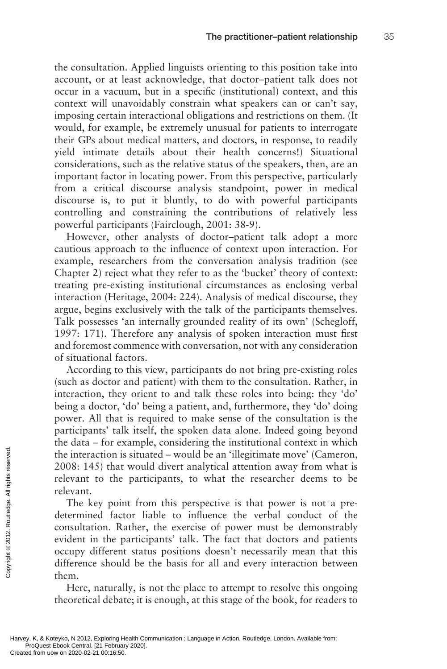the consultation. Applied linguists orienting to this position take into account, or at least acknowledge, that doctor–patient talk does not occur in a vacuum, but in a specific (institutional) context, and this context will unavoidably constrain what speakers can or can't say, imposing certain interactional obligations and restrictions on them. (It would, for example, be extremely unusual for patients to interrogate their GPs about medical matters, and doctors, in response, to readily yield intimate details about their health concerns!) Situational considerations, such as the relative status of the speakers, then, are an important factor in locating power. From this perspective, particularly from a critical discourse analysis standpoint, power in medical discourse is, to put it bluntly, to do with powerful participants controlling and constraining the contributions of relatively less powerful participants (Fairclough, 2001: 38-9).

However, other analysts of doctor–patient talk adopt a more cautious approach to the influence of context upon interaction. For example, researchers from the conversation analysis tradition (see Chapter 2) reject what they refer to as the 'bucket' theory of context: treating pre-existing institutional circumstances as enclosing verbal interaction (Heritage, 2004: 224). Analysis of medical discourse, they argue, begins exclusively with the talk of the participants themselves. Talk possesses 'an internally grounded reality of its own' (Schegloff, 1997: 171). Therefore any analysis of spoken interaction must first and foremost commence with conversation, not with any consideration of situational factors.

According to this view, participants do not bring pre-existing roles (such as doctor and patient) with them to the consultation. Rather, in interaction, they orient to and talk these roles into being: they 'do' being a doctor, 'do' being a patient, and, furthermore, they 'do' doing power. All that is required to make sense of the consultation is the participants' talk itself, the spoken data alone. Indeed going beyond the data – for example, considering the institutional context in which the interaction is situated – would be an 'illegitimate move' (Cameron, 2008: 145) that would divert analytical attention away from what is relevant to the participants, to what the researcher deems to be relevant.

The key point from this perspective is that power is not a predetermined factor liable to influence the verbal conduct of the consultation. Rather, the exercise of power must be demonstrably evident in the participants' talk. The fact that doctors and patients occupy different status positions doesn't necessarily mean that this difference should be the basis for all and every interaction between them. For the interaction is<br>
given the interaction is<br>  $2008: 145$ ) that<br>
relevant to the<br>
relevant. The key poin<br>
determined fact<br>
consultation. Ra<br>
evident in the p<br>
occupy different<br>
difference should<br>
them. Here, natural<br>

Here, naturally, is not the place to attempt to resolve this ongoing theoretical debate; it is enough, at this stage of the book, for readers to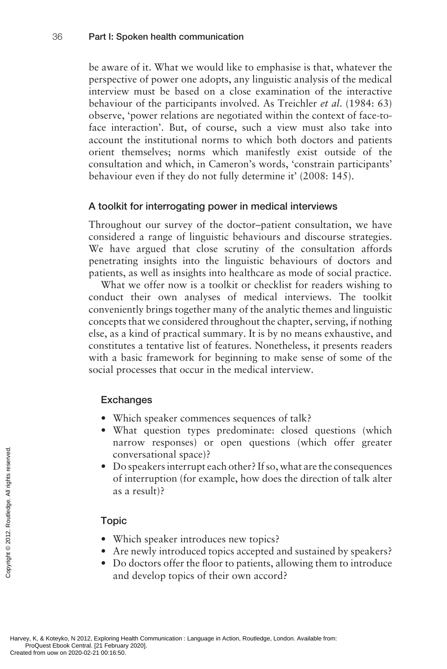be aware of it. What we would like to emphasise is that, whatever the perspective of power one adopts, any linguistic analysis of the medical interview must be based on a close examination of the interactive behaviour of the participants involved. As Treichler *et al*. (1984: 63) observe, 'power relations are negotiated within the context of face-toface interaction'. But, of course, such a view must also take into account the institutional norms to which both doctors and patients orient themselves; norms which manifestly exist outside of the consultation and which, in Cameron's words, 'constrain participants' behaviour even if they do not fully determine it' (2008: 145).

#### A toolkit for interrogating power in medical interviews

Throughout our survey of the doctor–patient consultation, we have considered a range of linguistic behaviours and discourse strategies. We have argued that close scrutiny of the consultation affords penetrating insights into the linguistic behaviours of doctors and patients, as well as insights into healthcare as mode of social practice.

What we offer now is a toolkit or checklist for readers wishing to conduct their own analyses of medical interviews. The toolkit conveniently brings together many of the analytic themes and linguistic concepts that we considered throughout the chapter, serving, if nothing else, as a kind of practical summary. It is by no means exhaustive, and constitutes a tentative list of features. Nonetheless, it presents readers with a basic framework for beginning to make sense of some of the social processes that occur in the medical interview.

#### Exchanges

- Which speaker commences sequences of talk?
- What question types predominate: closed questions (which narrow responses) or open questions (which offer greater conversational space)?
- Do speakers interrupt each other? If so, what are the consequences of interruption (for example, how does the direction of talk alter as a result)?

#### Topic

- Which speaker introduces new topics?
- Are newly introduced topics accepted and sustained by speakers?
- Do doctors offer the floor to patients, allowing them to introduce and develop topics of their own accord?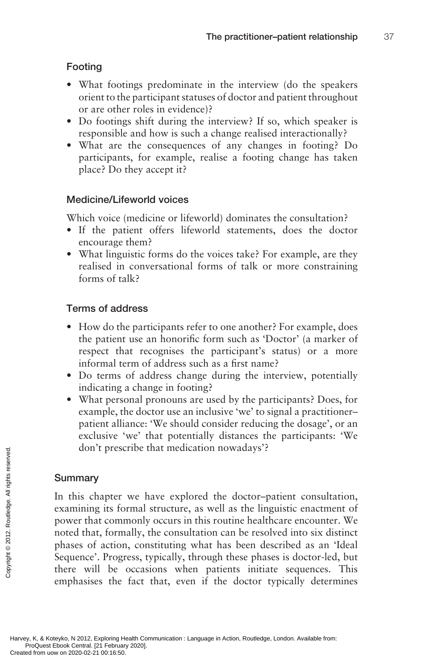### Footing

- What footings predominate in the interview (do the speakers orient to the participant statuses of doctor and patient throughout or are other roles in evidence)?
- Do footings shift during the interview? If so, which speaker is responsible and how is such a change realised interactionally?
- What are the consequences of any changes in footing? Do participants, for example, realise a footing change has taken place? Do they accept it?

#### Medicine/Lifeworld voices

Which voice (medicine or lifeworld) dominates the consultation?

- If the patient offers lifeworld statements, does the doctor encourage them?
- What linguistic forms do the voices take? For example, are they realised in conversational forms of talk or more constraining forms of talk?

### Terms of address

- How do the participants refer to one another? For example, does the patient use an honorific form such as 'Doctor' (a marker of respect that recognises the participant's status) or a more informal term of address such as a first name?
- Do terms of address change during the interview, potentially indicating a change in footing?
- What personal pronouns are used by the participants? Does, for example, the doctor use an inclusive 'we' to signal a practitioner– patient alliance: 'We should consider reducing the dosage', or an exclusive 'we' that potentially distances the participants: 'We don't prescribe that medication nowadays'?

### Summary

In this chapter we have explored the doctor–patient consultation, examining its formal structure, as well as the linguistic enactment of power that commonly occurs in this routine healthcare encounter. We noted that, formally, the consultation can be resolved into six distinct phases of action, constituting what has been described as an 'Ideal Sequence'. Progress, typically, through these phases is doctor-led, but there will be occasions when patients initiate sequences. This emphasises the fact that, even if the doctor typically determines **Summary**<br>  $\frac{1}{2}$ <br>  $\frac{1}{2}$ <br>  $\frac{1}{2}$ <br>  $\frac{1}{2}$ <br>  $\frac{1}{2}$ <br>  $\frac{1}{2}$ <br>  $\frac{1}{2}$ <br>  $\frac{1}{2}$ <br>  $\frac{1}{2}$ <br>  $\frac{1}{2}$ <br>  $\frac{1}{2}$ <br>  $\frac{1}{2}$ <br>  $\frac{1}{2}$ <br>  $\frac{1}{2}$ <br>  $\frac{1}{2}$ <br>  $\frac{1}{2}$ <br>  $\frac{1}{2}$ <br>  $\frac{1}{2}$ <br>  $\frac{1}{2}$ <br>